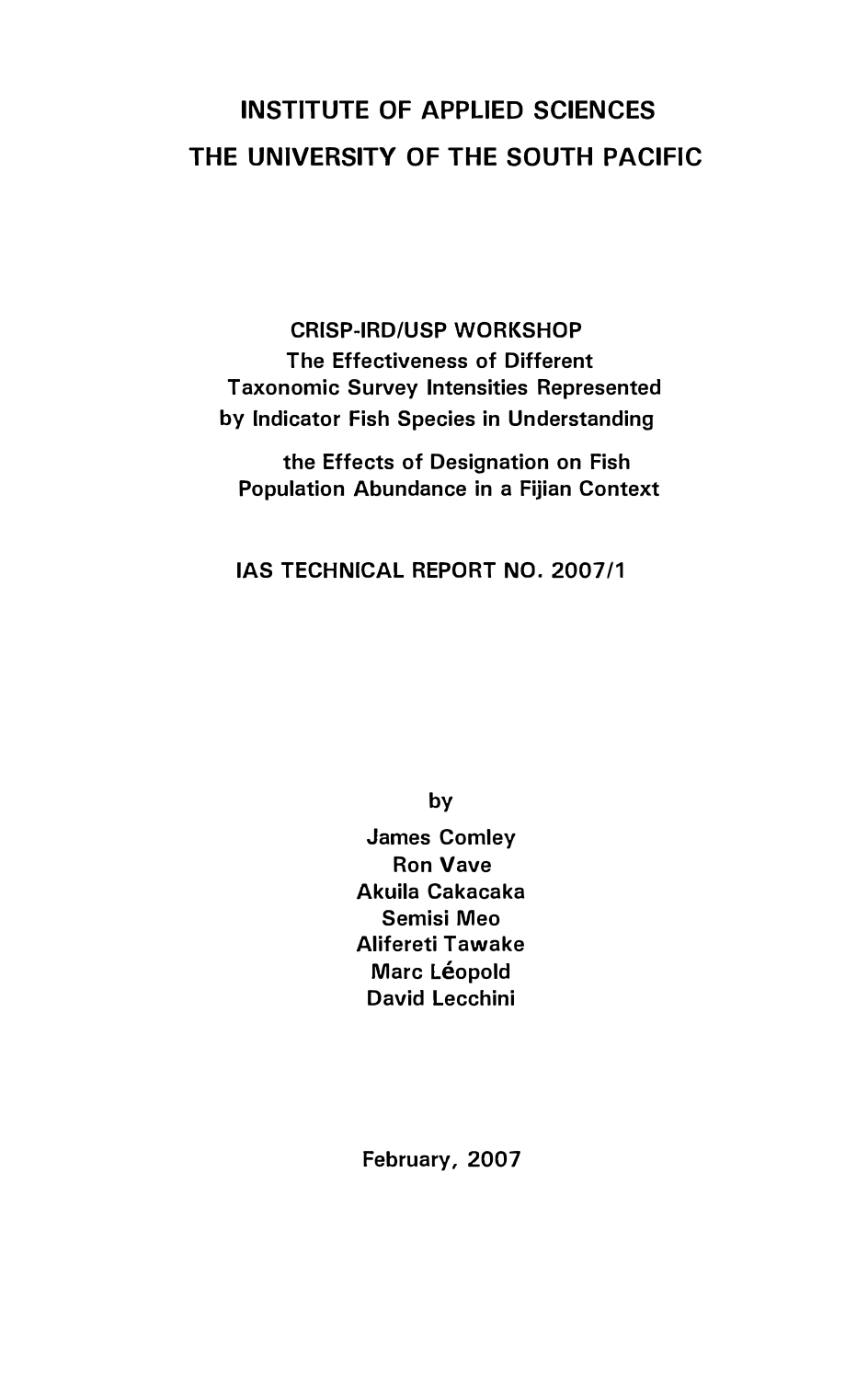# INSTITUTE OF APPLIED SCIENCES THE UNIVERSITY OF THE SOUTH PACIFIC

CRISP-IRD/USP WORKSHOP The Effectiveness of Different Taxonomic Survey Intensities Represented by Indicator Fish Species in Understanding

the Effects of Designation on Fish Population Abundance in a Fijian Context

IAS TECHNICAL REPORT NO. 2007/1

by

James Comley Ron Vave Akuila Cakacaka Semisi Meo Alifereti Tawake Marc Léopold David Lecchini

February, 2007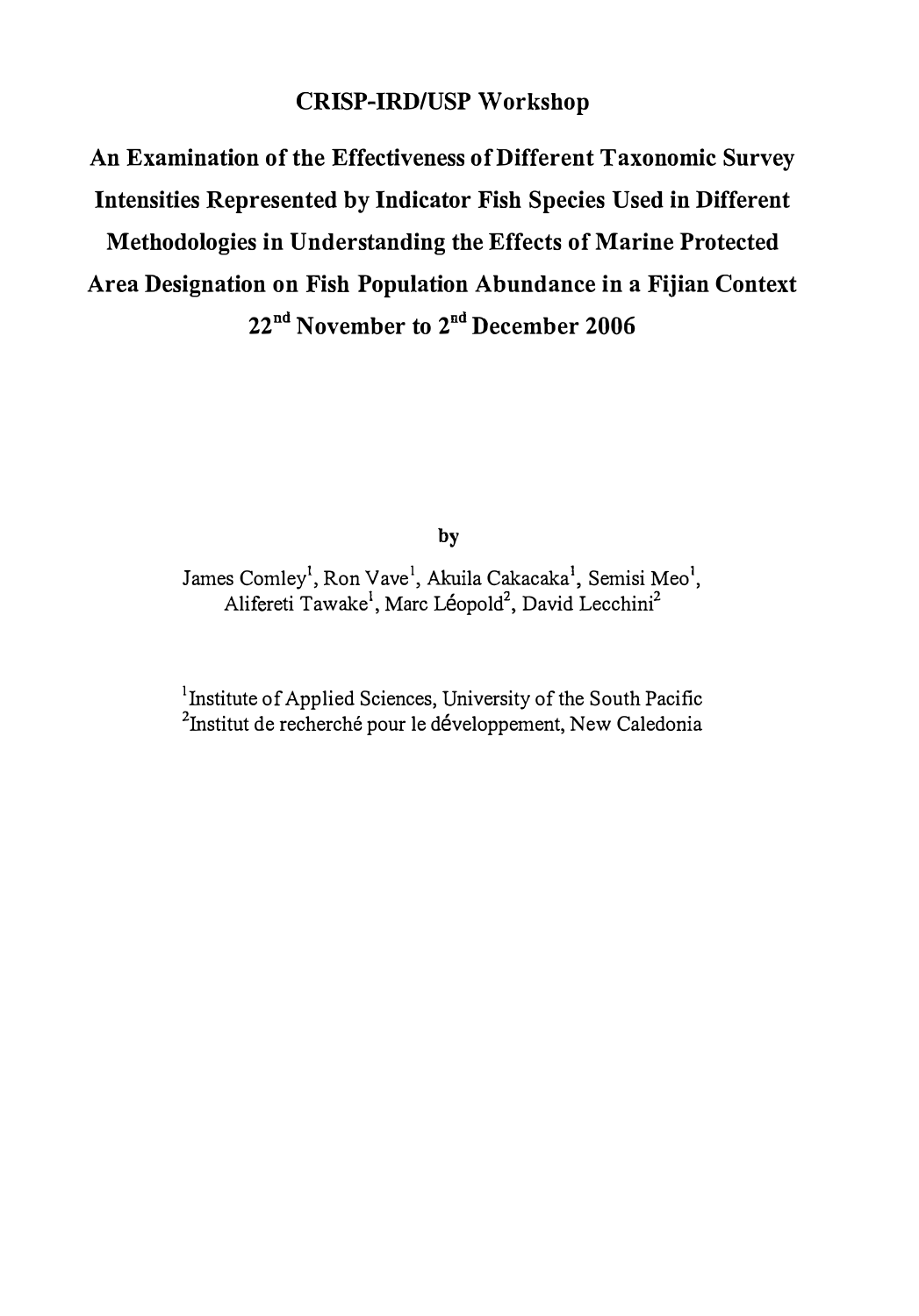## CRISP-IRD/USP Workshop

An Examination of the Effectiveness of Different Taxonomic Survey Intensities Represented by Indicator Fish Species Used in Different Methodologies in Understanding the Effects of Marine Protected Area Designation on Fish Population Abundance in a Fijian Context 22<sup>nd</sup> November to 2<sup>nd</sup> December 2006

by

James Comley<sup>1</sup>, Ron Vave<sup>1</sup>, Akuila Cakacaka<sup>1</sup>, Semisi Meo<sup>1</sup>, Alifereti Tawake<sup>1</sup>, Marc Léopold<sup>2</sup>, David Lecchini<sup>2</sup>

<sup>1</sup> Institute of Applied Sciences, University of the South Pacific <sup>2</sup>Institut de recherché pour le développement, New Caledonia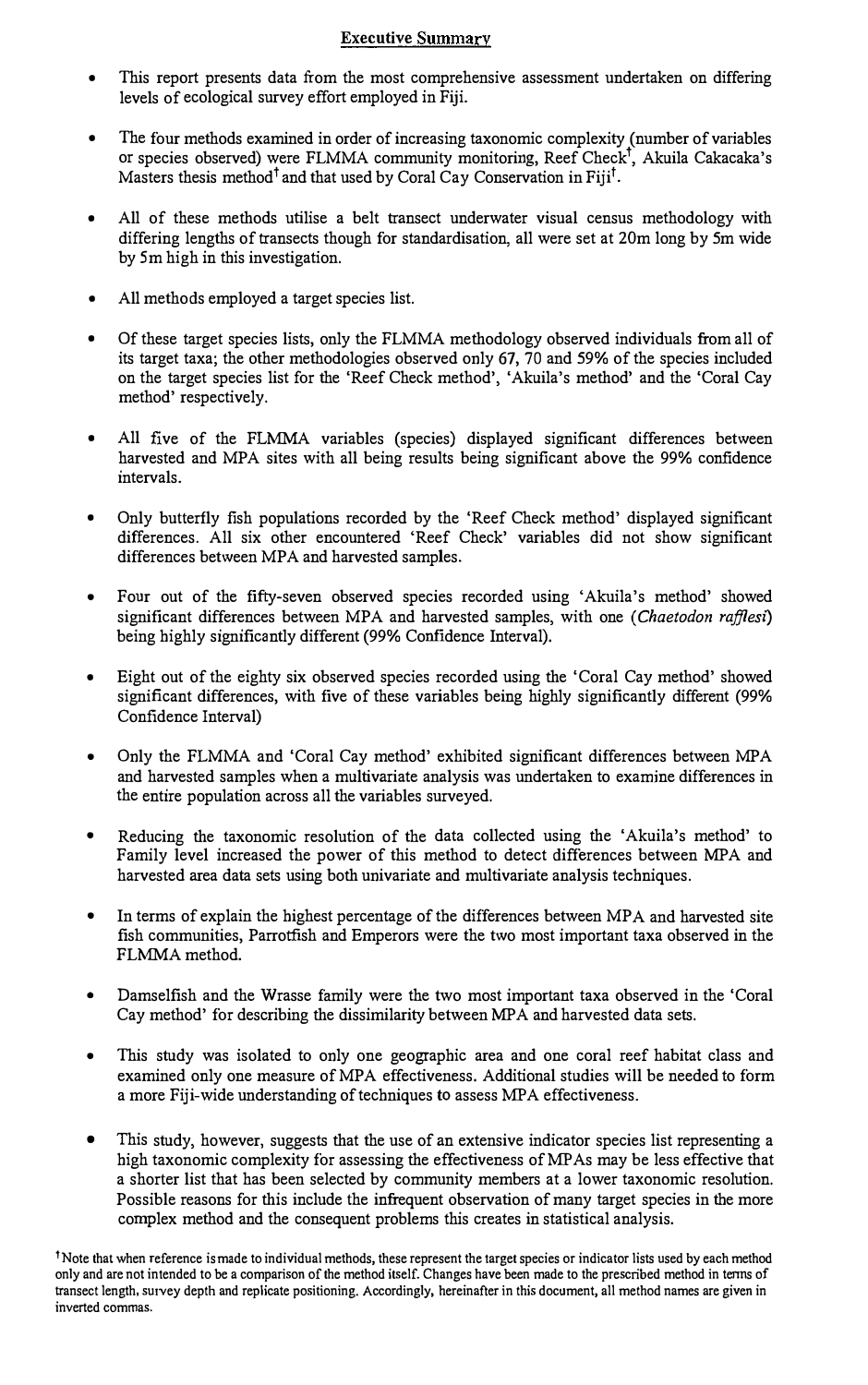#### Executive Summary

- This report presents data from the most comprehensive assessment undertaken on differing levels of ecological survey effort employed in Fiji.
- The four methods examined in order of increasing taxonomic complexity (number of variables or species observed) were FLMMA community monitoring, Reef Check<sup>t</sup>, Akuila Cakacaka's Masters thesis method<sup>†</sup> and that used by Coral Cay Conservation in Fiji<sup>t</sup>.
- All of these methods utilise a belt transect underwater visual census methodology with differing lengths of transects though for standardisation, all were set at 20m long by 5m wide by 5m high in this investigation.
- All methods employed a target species list.
- Of these target species lists, only the FLMMA methodology observed individuals from all of its target taxa; the other methodologies observed only 67, 70 and 59% of the species included on the target species list for the 'Reef Check method', 'Akuila's method' and the 'Coral Cay method' respectively.
- All five of the FLMMA variables (species) displayed significant differences between harvested and MPA sites with all being results being significant above the 99% confidence intervals.
- Only butterfly fish populations recorded by the 'Reef Check method' displayed significant differences. All six other encountered 'Reef Check' variables did not show significant differences between MPA and harvested samples.
- Four out of the fifty-seven observed species recorded using 'Akuila's method' showed significant differences between MPA and harvested samples, with one (Chaetodon rafflesi) being highly significantly different (99% Confidence Interval).
- Eight out of the eighty six observed species recorded using the 'Coral Cay method' showed significant differences, with five of these variables being highly significantly different (99% Confidence Interval)
- Only the FLMMA and 'Coral Cay method' exhibited significant differences between MP A and harvested samples when a multivariate analysis was undertaken to examine differences in the entire population across all the variables surveyed.
- Reducing the taxonomic resolution of the data collected using the 'Akuila's method' to Family level increased the power of this method to detect differences between MPA and harvested area data sets using both univariate and multivariate analysis techniques.
- In terms of explain the highest percentage of the differences between MPA and harvested site fish communities, Parrotfish and Emperors were the two most important taxa observed in the FLMMA method.
- Damselfish and the Wrasse family were the two most important taxa observed in the 'Coral Cay method' for describing the dissimilarity between MP A and harvested data sets.
- This study was isolated to only one geographic area and one coral reef habitat class and examined only one measure of MPA effectiveness. Additional studies will be needed to form a more Fiji-wide understanding of techniques to assess MPA effectiveness.
- This study, however, suggests that the use of an extensive indicator species list representing a high taxonomic complexity for assessing the effectiveness ofMPAs may be less effective that a shorter list that has been selected by community members at a lower taxonomic resolution. Possible reasons for this include the infrequent observation of many target species in the more complex method and the consequent problems this creates in statistical analysis.

<sup>&</sup>lt;sup> $\dagger$ </sup>Note that when reference is made to individual methods, these represent the target species or indicator lists used by each method only and are not intended to be a comparison of the method itself. Changes have been made to the prescribed method in tenns of transect length, survey depth and replicate positioning. Accordingly, hereinafter in this document, all method names are given in inverted commas.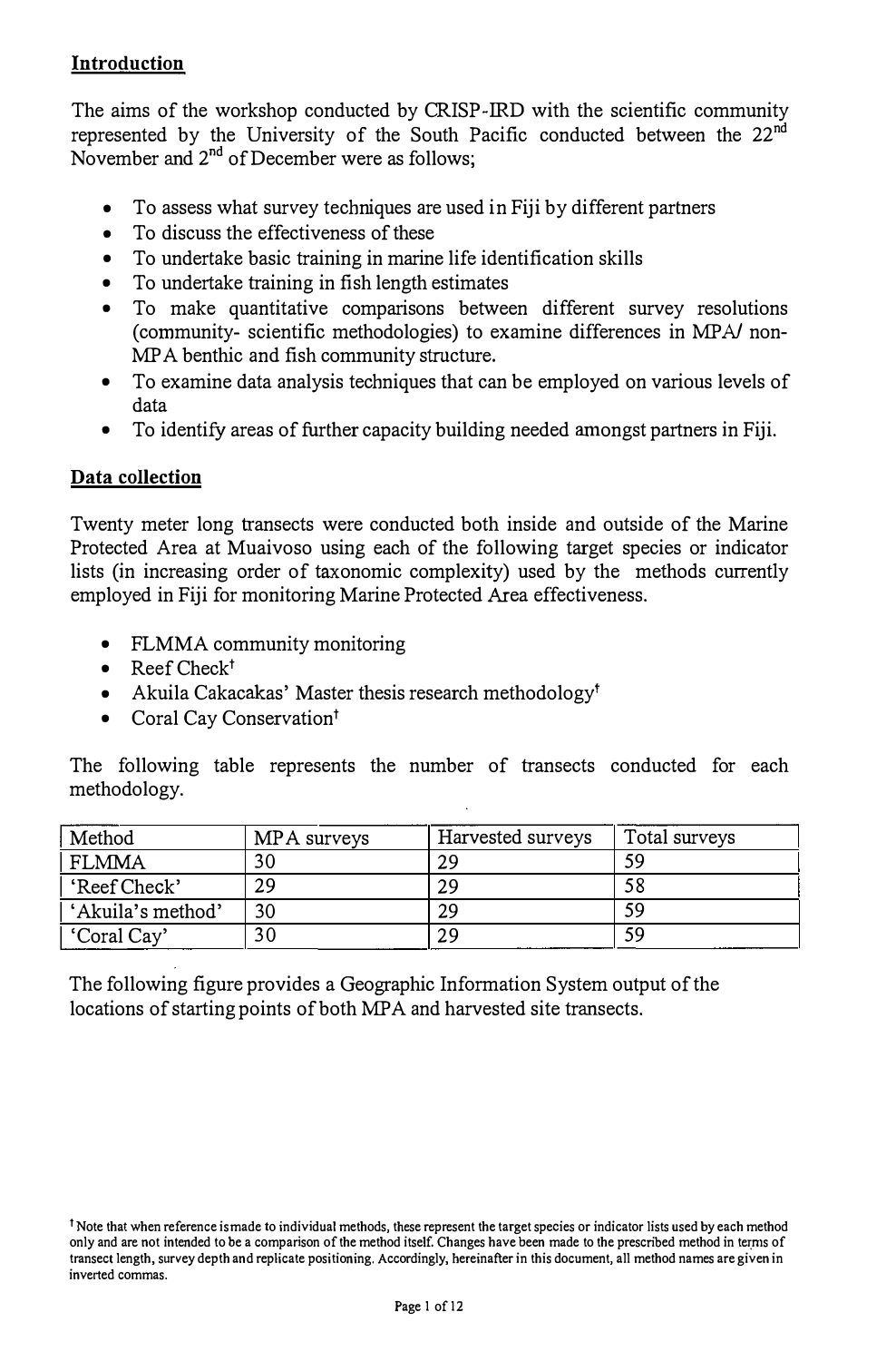### **Introduction**

The aims of the workshop conducted by CRISP-IRD with the scientific community represented by the University of the South Pacific conducted between the 22<sup>nd</sup> November and 2<sup>nd</sup> of December were as follows;

- To assess what survey techniques are used in Fiji by different partners
- To discuss the effectiveness of these
- To undertake basic training in marine life identification skills
- To undertake training in fish length estimates
- To make quantitative comparisons between different survey resolutions (community- scientific methodologies) to examine differences in MPA/ non-MP A benthic and fish community structure.
- To examine data analysis techniques that can be employed on various levels of data
- To identify areas of further capacity building needed amongst partners in Fiji.

#### Data collection

Twenty meter long transects were conducted both inside and outside of the Marine Protected Area at Muaivoso using each of the following target species or indicator lists (in increasing order of taxonomic complexity) used by the methods currently employed in Fiji for monitoring Marine Protected Area effectiveness.

- FLMMA community monitoring
- Reef  $Check<sup>†</sup>$
- Akuila Cakacakas' Master thesis research methodology<sup>t</sup>
- Coral Cay Conservation<sup>†</sup>

The following table represents the number of transects conducted for each methodology.

| Method            | MPA surveys | Harvested surveys | Total surveys |
|-------------------|-------------|-------------------|---------------|
| <b>FLMMA</b>      | 30          | 29                | 59            |
| 'Reef Check'      | 29          | 29                | 58            |
| 'Akuila's method' | 30          | 29                | 59            |
| 'Coral Cay'       | 30          | 29                | 59            |

The following figure provides a Geographic Information System output of the locations of starting points of both MPA and harvested site transects.

<sup>&</sup>lt;sup>†</sup> Note that when reference ismade to individual methods, these represent the target species or indicator lists used by each method only and are not intended to be a comparison of the method itself. Changes have been made to the prescnbed method in teryns of transect length, survey depth and replicate positioning. Accordingly, hereinafter in this document, all method names are given in inverted commas.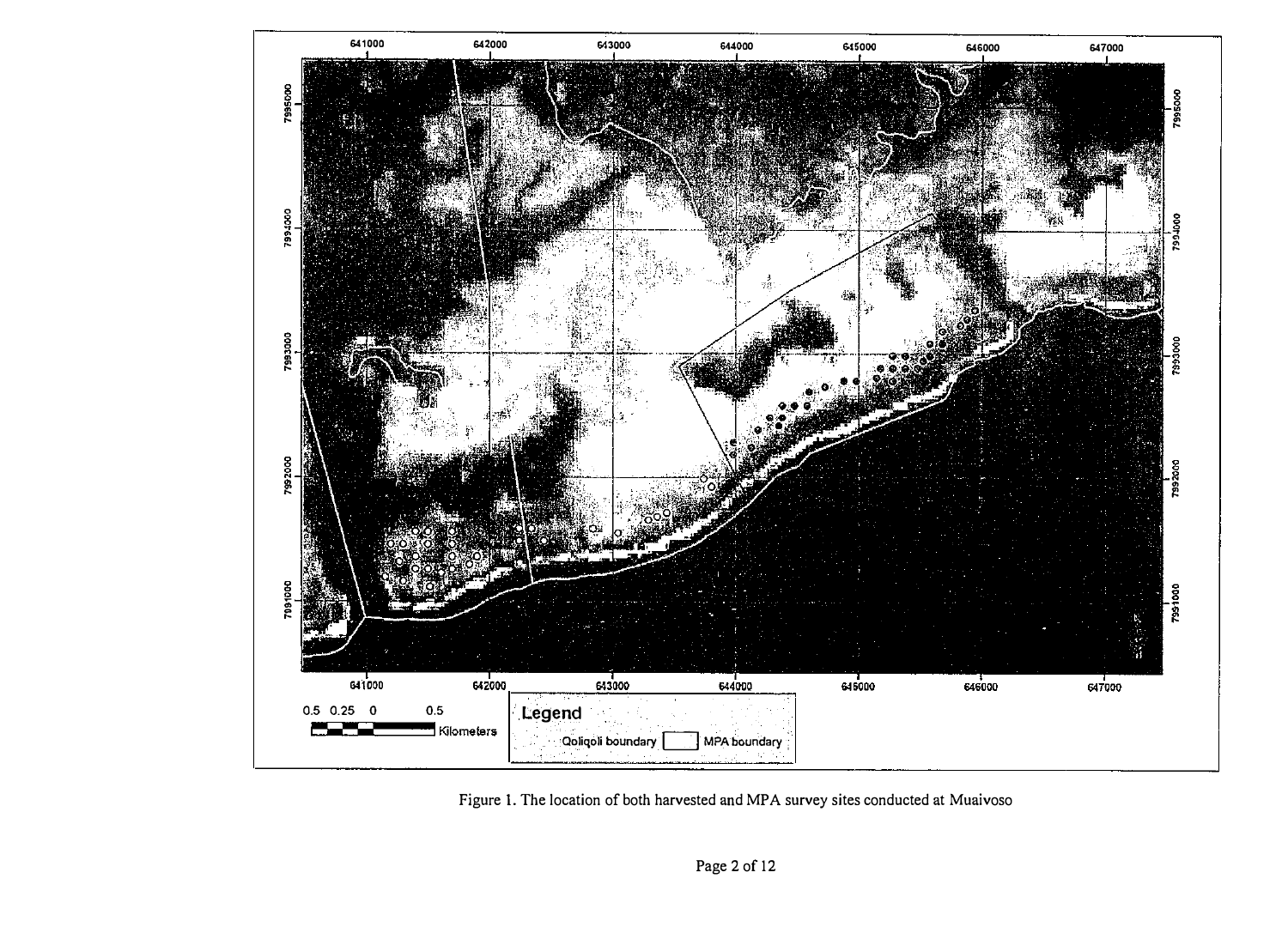

Figure 1. The location of both harvested and MPA survey sites conducted at Muaivoso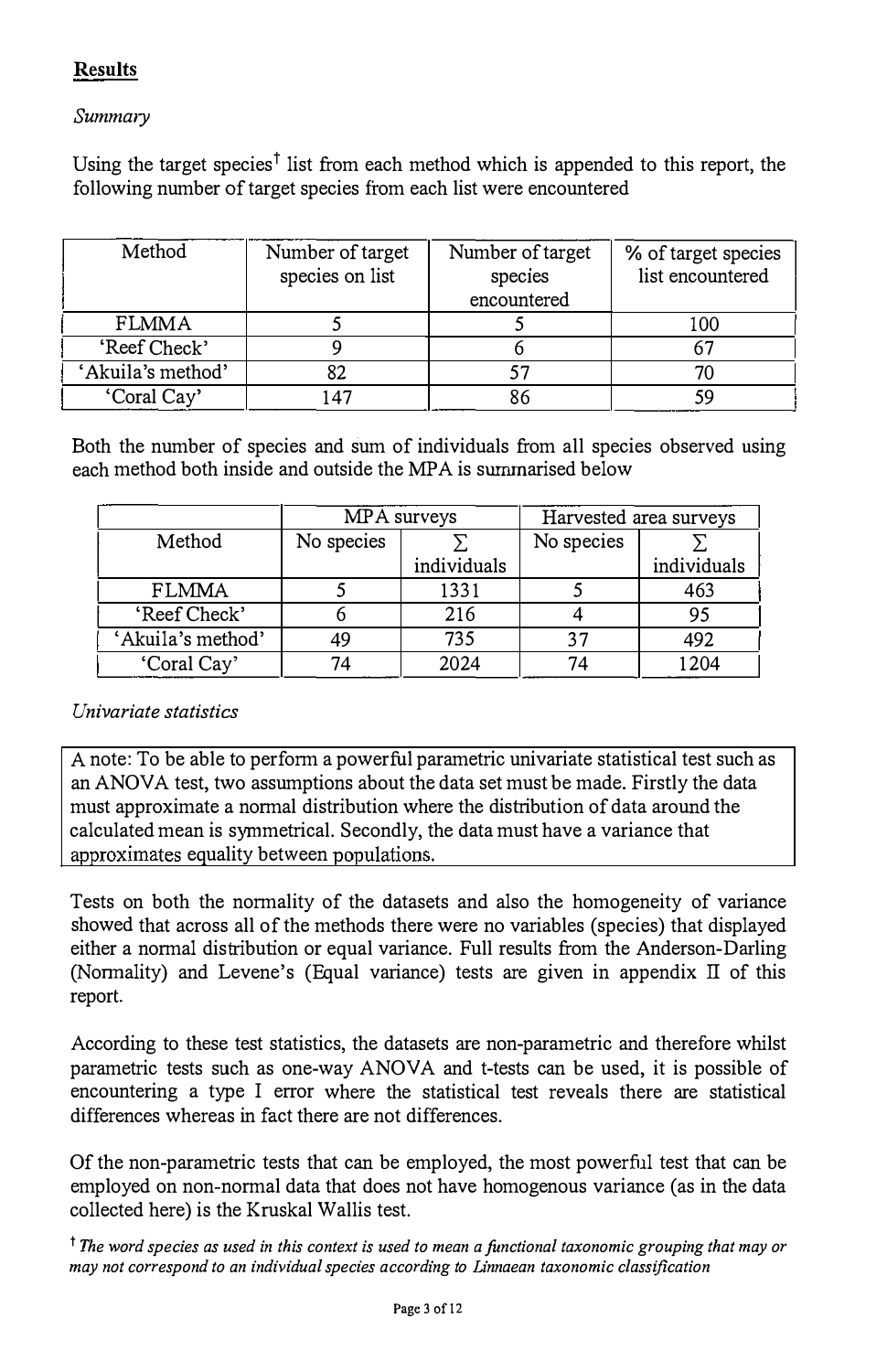## Results

#### Summary

Using the target species<sup>†</sup> list from each method which is appended to this report, the following number of target species from each list were encountered

| Method            | Number of target<br>species on list | Number of target<br>species<br>encountered | % of target species<br>list encountered |
|-------------------|-------------------------------------|--------------------------------------------|-----------------------------------------|
| <b>FLMMA</b>      |                                     |                                            | 100                                     |
| 'Reef Check'      |                                     |                                            |                                         |
| 'Akuila's method' |                                     |                                            |                                         |
| 'Coral Cay'       | 47                                  | 86                                         |                                         |

Both the number of species and sum of individuals from all species observed nsing each method both inside and outside the MPA is summarised below

|                   |            | MPA surveys |            | Harvested area surveys |
|-------------------|------------|-------------|------------|------------------------|
| Method            | No species |             | No species |                        |
|                   |            | individuals |            | individuals            |
| <b>FLMMA</b>      |            | 1331        |            | 463                    |
| 'Reef Check'      |            | 216         |            | 95                     |
| 'Akuila's method' | 49         | 735         |            | 492                    |
| 'Coral Cay'       |            | 2024        |            | 1204                   |

#### Univariate statistics

A note: To be able to perform a powerful parametric univariate statistical test such as an ANOVA test, two assumptions about the data set must be made. Firstly the data must approximate a normal distribution where the distribution of data around the calculated mean is symmetrical. Secondly, the data must have a variance that approximates equality between populations.

Tests on both the normality of the datasets and also the homogeneity of variance showed that across all of the methods there were no variables (species) that displayed either a normal distribution or equal variance. Full results from the Anderson-Darling (Normality) and Levene's (Equal variance) tests are given in appendix  $\Pi$  of this report.

According to these test statistics, the datasets are non-parametric and therefore whilst parametric tests such as one-way ANOVA and t-tests can be used, it is possible of encountering a type I error where the statistical test reveals there are statistical differences whereas in fact there are not differences.

Of the non-parametric tests that can be employed, the most powerful test that can be employed on non-normal data that does not have homogenous variance (as in the data collected here) is the Kruskal Wallis test.

<sup>†</sup> The word species as used in this context is used to mean a functional taxonomic grouping that may or may not correspond to an individual species according to Linnaean taxonomic classification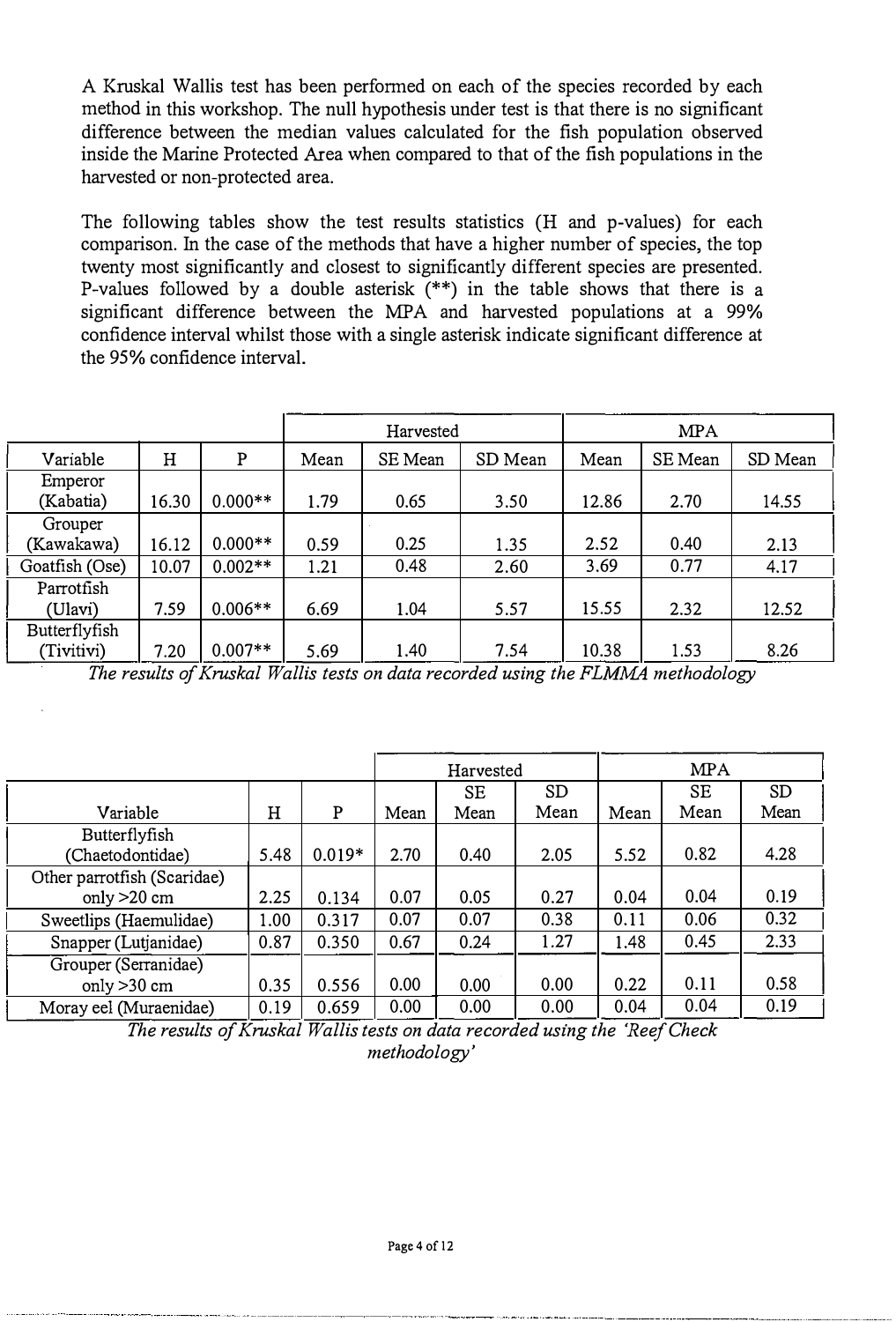A Kruskal Wallis test has been performed on each of the species recorded by each method in this workshop. The null hypothesis under test is that there is no significant difference between the median values calculated for the fish population observed inside the Marine Protected Area when compared to that of the fish populations in the harvested or non-protected area.

The following tables show the test results statistics (H and p-values) for each comparison. In the case of the methods that have a higher number of species, the top twenty most significantly and closest to significantly different species are presented. P-values followed by a double asterisk (\*\*) in the table shows that there is a significant difference between the MPA and harvested populations at a 99% confidence interval whilst those with a single asterisk indicate significant difference at the 95% confidence interval.

| connucileo intervar willist those with a shigle asterist indicate significant unference at<br>the 95% confidence interval. |       |           |      |           |         |       |            |         |  |
|----------------------------------------------------------------------------------------------------------------------------|-------|-----------|------|-----------|---------|-------|------------|---------|--|
|                                                                                                                            |       |           |      | Harvested |         |       | <b>MPA</b> |         |  |
| Variable                                                                                                                   | Н     | P         | Mean | SE Mean   | SD Mean | Mean  | SE Mean    | SD Mean |  |
| Emperor<br>(Kabatia)                                                                                                       | 16.30 | $0.000**$ | 1.79 | 0.65      | 3.50    | 12.86 | 2.70       | 14.55   |  |
| Grouper<br>(Kawakawa)                                                                                                      | 16.12 | $0.000**$ | 0.59 | 0.25      | 1.35    | 2.52  | 0.40       | 2.13    |  |
| Goatfish (Ose)                                                                                                             | 10.07 | $0.002**$ | 1.21 | 0.48      | 2.60    | 3.69  | 0.77       | 4.17    |  |
| Parrotfish<br>(Ulavi)                                                                                                      | 7.59  | $0.006**$ | 6.69 | 1.04      | 5.57    | 15.55 | 2.32       | 12.52   |  |
| Butterflyfish<br>(Tivitivi)                                                                                                | 7.20  | $0.007**$ | 5.69 | 1.40      | 7.54    | 10.38 | 1.53       | 8.26    |  |

The results of Kruskal Wallis tests on data recorded using the FLMMA methodology

|                             |      |          |      | Harvested |           |      | <b>MPA</b> |           |
|-----------------------------|------|----------|------|-----------|-----------|------|------------|-----------|
|                             |      |          |      | SE        | <b>SD</b> |      | SE         | <b>SD</b> |
| Variable                    | Η    | P        | Mean | Mean      | Mean      | Mean | Mean       | Mean      |
| Butterflyfish               |      |          |      |           |           |      |            |           |
| (Chaetodontidae)            | 5.48 | $0.019*$ | 2.70 | 0.40      | 2.05      | 5.52 | 0.82       | 4.28      |
| Other parrotfish (Scaridae) |      |          |      |           |           |      |            |           |
| only $>20$ cm               | 2.25 | 0.134    | 0.07 | 0.05      | 0.27      | 0.04 | 0.04       | 0.19      |
| Sweetlips (Haemulidae)      | 1.00 | 0.317    | 0.07 | 0.07      | 0.38      | 0.11 | 0.06       | 0.32      |
| Snapper (Lutjanidae)        | 0.87 | 0.350    | 0.67 | 0.24      | 1.27      | 1.48 | 0.45       | 2.33      |
| Grouper (Serranidae)        |      |          |      |           |           |      |            |           |
| only $>30$ cm               | 0.35 | 0.556    | 0.00 | 0.00      | 0.00      | 0.22 | 0.11       | 0.58      |
| Moray eel (Muraenidae)      | 0.19 | 0.659    | 0.00 | 0.00      | 0.00      | 0.04 | 0.04       | 0.19      |

The results of Kruskal Wallis tests on data recorded using the 'Reef Check methodology'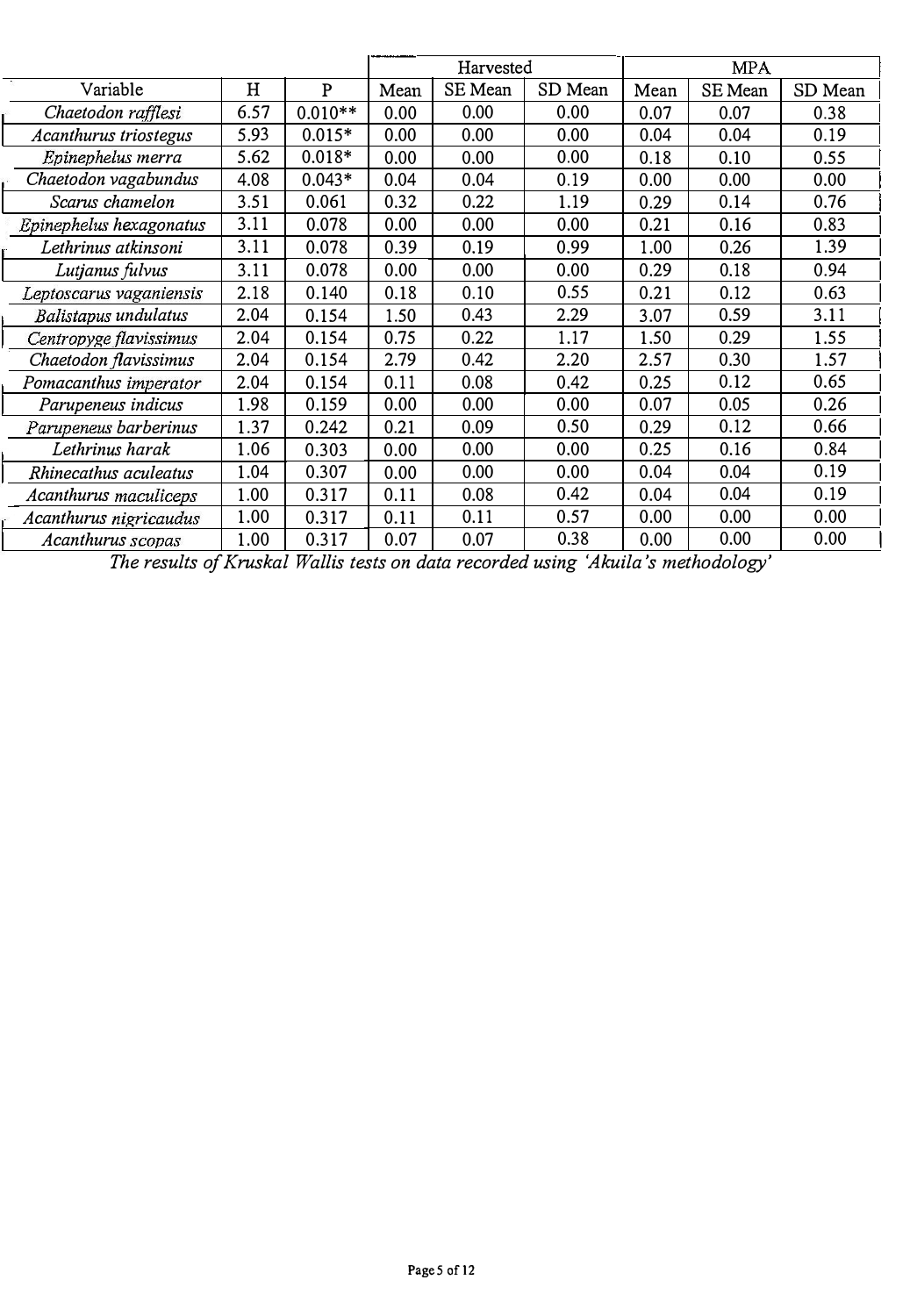|                         |      |              |      | Harvested |         | <b>MPA</b> |         |         |
|-------------------------|------|--------------|------|-----------|---------|------------|---------|---------|
| Variable                | H    | $\mathbf{P}$ | Mean | SE Mean   | SD Mean | Mean       | SE Mean | SD Mean |
| Chaetodon rafflesi      | 6.57 | $0.010**$    | 0.00 | 0.00      | 0.00    | 0.07       | 0.07    | 0.38    |
| Acanthurus triostegus   | 5.93 | $0.015*$     | 0.00 | 0.00      | 0.00    | 0.04       | 0.04    | 0.19    |
| Epinephelus merra       | 5.62 | $0.018*$     | 0.00 | 0.00      | 0.00    | 0.18       | 0.10    | 0.55    |
| Chaetodon vagabundus    | 4.08 | $0.043*$     | 0.04 | 0.04      | 0.19    | 0.00       | 0.00    | 0.00    |
| Scarus chamelon         | 3.51 | 0.061        | 0.32 | 0.22      | 1.19    | 0.29       | 0.14    | 0.76    |
| Epinephelus hexagonatus | 3.11 | 0.078        | 0.00 | 0.00      | 0.00    | 0.21       | 0.16    | 0.83    |
| Lethrinus atkinsoni     | 3.11 | 0.078        | 0.39 | 0.19      | 0.99    | 1.00       | 0.26    | 1.39    |
| Lutjanus fulvus         | 3.11 | 0.078        | 0.00 | 0.00      | 0.00    | 0.29       | 0.18    | 0.94    |
| Leptoscarus vaganiensis | 2.18 | 0.140        | 0.18 | 0.10      | 0.55    | 0.21       | 0.12    | 0.63    |
| Balistapus undulatus    | 2.04 | 0.154        | 1.50 | 0.43      | 2.29    | 3.07       | 0.59    | 3.11    |
| Centropyge flavissimus  | 2.04 | 0.154        | 0.75 | 0.22      | 1.17    | 1.50       | 0.29    | 1.55    |
| Chaetodon flavissimus   | 2.04 | 0.154        | 2.79 | 0.42      | 2.20    | 2.57       | 0.30    | 1.57    |
| Pomacanthus imperator   | 2.04 | 0.154        | 0.11 | 0.08      | 0.42    | 0.25       | 0.12    | 0.65    |
| Parupeneus indicus      | 1.98 | 0.159        | 0.00 | 0.00      | 0.00    | 0.07       | 0.05    | 0.26    |
| Parupeneus barberinus   | 1.37 | 0.242        | 0.21 | 0.09      | 0.50    | 0.29       | 0.12    | 0.66    |
| Lethrinus harak         | 1.06 | 0.303        | 0.00 | 0.00      | 0.00    | 0.25       | 0.16    | 0.84    |
| Rhinecathus aculeatus   | 1.04 | 0.307        | 0.00 | 0.00      | 0.00    | 0.04       | 0.04    | 0.19    |
| Acanthurus maculiceps   | 1.00 | 0.317        | 0.11 | 0.08      | 0.42    | 0.04       | 0.04    | 0.19    |
| Acanthurus nigricaudus  | 1.00 | 0.317        | 0.11 | 0.11      | 0.57    | 0.00       | 0.00    | 0.00    |
| Acanthurus scopas       | 1.00 | 0.317        | 0.07 | 0.07      | 0.38    | 0.00       | 0.00    | 0.00    |

The results of Kruskal Wallis tests on data recorded using 'Akuila 's methodology'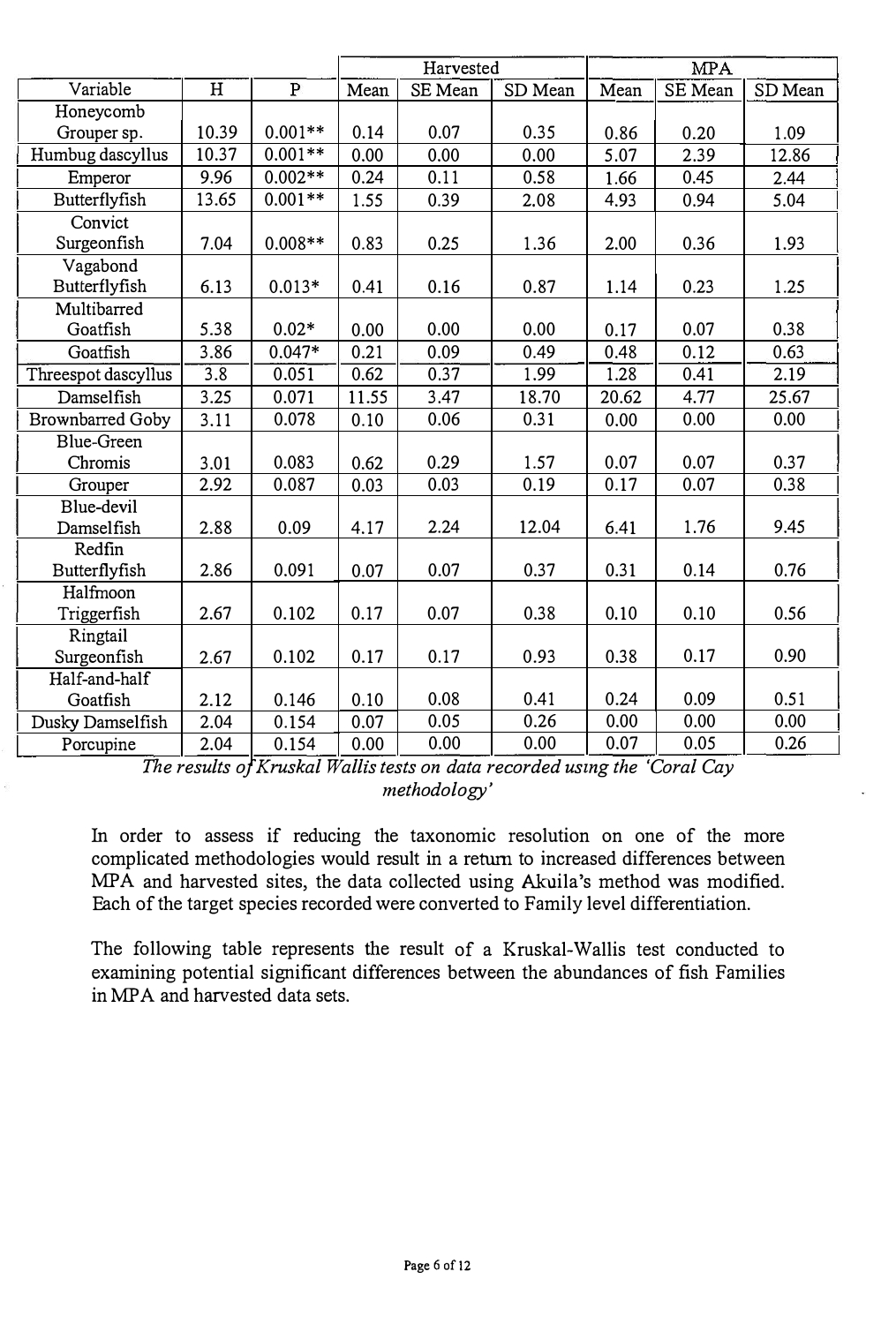|                         |       |              | Harvested |         |         | <b>MPA</b> |         |         |
|-------------------------|-------|--------------|-----------|---------|---------|------------|---------|---------|
| Variable                | H     | $\mathbf{P}$ | Mean      | SE Mean | SD Mean | Mean       | SE Mean | SD Mean |
| Honeycomb               |       |              |           |         |         |            |         |         |
| Grouper sp.             | 10.39 | $0.001**$    | 0.14      | 0.07    | 0.35    | 0.86       | 0.20    | 1.09    |
| Humbug dascyllus        | 10.37 | $0.001**$    | 0.00      | 0.00    | 0.00    | 5.07       | 2.39    | 12.86   |
| Emperor                 | 9.96  | $0.002**$    | 0.24      | 0.11    | 0.58    | 1.66       | 0.45    | 2.44    |
| Butterflyfish           | 13.65 | $0.001**$    | 1.55      | 0.39    | 2.08    | 4.93       | 0.94    | 5.04    |
| Convict                 |       |              |           |         |         |            |         |         |
| Surgeonfish             | 7.04  | $0.008**$    | 0.83      | 0.25    | 1.36    | 2.00       | 0.36    | 1.93    |
| Vagabond                |       |              |           |         |         |            |         |         |
| Butterflyfish           | 6.13  | $0.013*$     | 0.41      | 0.16    | 0.87    | 1.14       | 0.23    | 1.25    |
| Multibarred             |       |              |           |         |         |            |         |         |
| Goatfish                | 5.38  | $0.02*$      | 0.00      | 0.00    | 0.00    | 0.17       | 0.07    | 0.38    |
| Goatfish                | 3.86  | $0.047*$     | 0.21      | 0.09    | 0.49    | 0.48       | 0.12    | 0.63    |
| Threespot dascyllus     | 3.8   | 0.051        | 0.62      | 0.37    | 1.99    | 1.28       | 0.41    | 2.19    |
| Damselfish              | 3.25  | 0.071        | 11.55     | 3.47    | 18.70   | 20.62      | 4.77    | 25.67   |
| <b>Brownbarred Goby</b> | 3.11  | 0.078        | 0.10      | 0.06    | 0.31    | 0.00       | 0.00    | 0.00    |
| Blue-Green              |       |              |           |         |         |            |         |         |
| Chromis                 | 3.01  | 0.083        | 0.62      | 0.29    | 1.57    | 0.07       | 0.07    | 0.37    |
| Grouper                 | 2.92  | 0.087        | 0.03      | 0.03    | 0.19    | 0.17       | 0.07    | 0.38    |
| Blue-devil              |       |              |           |         |         |            |         |         |
| Damselfish              | 2.88  | 0.09         | 4.17      | 2.24    | 12.04   | 6.41       | 1.76    | 9.45    |
| Redfin                  |       |              |           |         |         |            |         |         |
| Butterflyfish           | 2.86  | 0.091        | 0.07      | 0.07    | 0.37    | 0.31       | 0.14    | 0.76    |
| Halfmoon                |       |              |           |         |         |            |         |         |
| Triggerfish             | 2.67  | 0.102        | 0.17      | 0.07    | 0.38    | 0.10       | 0.10    | 0.56    |
| Ringtail                |       |              |           |         |         |            |         |         |
| Surgeonfish             | 2.67  | 0.102        | 0.17      | 0.17    | 0.93    | 0.38       | 0.17    | 0.90    |
| Half-and-half           |       |              |           |         |         |            |         |         |
| Goatfish                | 2.12  | 0.146        | 0.10      | 0.08    | 0.41    | 0.24       | 0.09    | 0.51    |
| Dusky Damselfish        | 2.04  | 0.154        | 0.07      | 0.05    | 0.26    | 0.00       | 0.00    | 0.00    |
| Porcupine               | 2.04  | 0.154        | 0.00      | 0.00    | 0.00    | 0.07       | 0.05    | 0.26    |

The results of Kruskal Wallis tests on data recorded using the 'Coral Cay methodology'

In order to assess if reducing the taxonomic resolution on one of the more complicated methodologies would result in a return to increased differences between MPA and harvested sites, the data collected using Akuila's method was modified. Each of the target species recorded were converted to Family level differentiation.

The following table represents the result of a Kruskal-Wallis test conducted to examining potential significant differences between the abundances of fish Families in MPA and harvested data sets.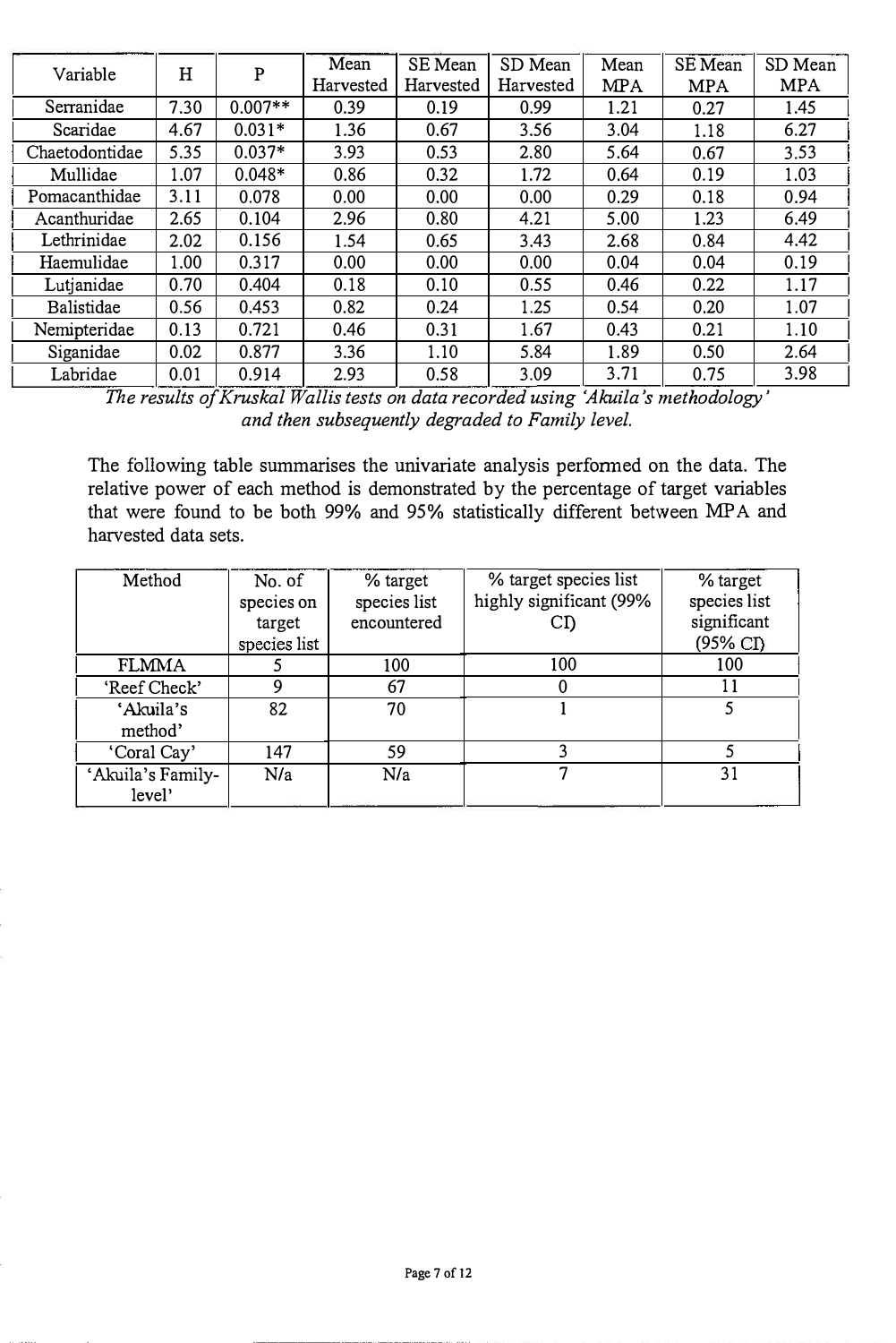| Variable       | H    | ${\bf P}$ | Mean      | SE Mean   | SD Mean   | Mean       | SE Mean    | SD Mean    |
|----------------|------|-----------|-----------|-----------|-----------|------------|------------|------------|
|                |      |           | Harvested | Harvested | Harvested | <b>MPA</b> | <b>MPA</b> | <b>MPA</b> |
| Serranidae     | 7.30 | $0.007**$ | 0.39      | 0.19      | 0.99      | 1.21       | 0.27       | 1.45       |
| Scaridae       | 4.67 | $0.031*$  | 1.36      | 0.67      | 3.56      | 3.04       | 1.18       | 6.27       |
| Chaetodontidae | 5.35 | $0.037*$  | 3.93      | 0.53      | 2.80      | 5.64       | 0.67       | 3.53       |
| Mullidae       | 1.07 | $0.048*$  | 0.86      | 0.32      | 1.72      | 0.64       | 0.19       | 1.03       |
| Pomacanthidae  | 3.11 | 0.078     | 0.00      | 0.00      | 0.00      | 0.29       | 0.18       | 0.94       |
| Acanthuridae   | 2.65 | 0.104     | 2.96      | 0.80      | 4.21      | 5.00       | 1.23       | 6.49       |
| Lethrinidae    | 2.02 | 0.156     | 1.54      | 0.65      | 3.43      | 2.68       | 0.84       | 4.42       |
| Haemulidae     | 1.00 | 0.317     | 0.00      | 0.00      | 0.00      | 0.04       | 0.04       | 0.19       |
| Lutjanidae     | 0.70 | 0.404     | 0.18      | 0.10      | 0.55      | 0.46       | 0.22       | 1.17       |
| Balistidae     | 0.56 | 0.453     | 0.82      | 0.24      | 1.25      | 0.54       | 0.20       | 1.07       |
| Nemipteridae   | 0.13 | 0.721     | 0.46      | 0.31      | 1.67      | 0.43       | 0.21       | 1.10       |
| Siganidae      | 0.02 | 0.877     | 3.36      | 1.10      | 5.84      | 1.89       | 0.50       | 2.64       |
| Labridae       | 0.01 | 0.914     | 2.93      | 0.58      | 3.09      | 3.71       | 0.75       | 3.98       |

The results of Kruskal Wallis tests on data recorded using 'Akuila 's methodology' and then subsequently degraded to Family level.

The following table summarises the univariate analysis performed on the data. The relative power of each method is demonstrated by the percentage of target variables that were found to be both 99% and 95% statistically different between MPA and harvested data sets.

| Method                      | No. of<br>species on   | % target<br>species list | % target species list<br>highly significant (99% | % target<br>species list           |
|-----------------------------|------------------------|--------------------------|--------------------------------------------------|------------------------------------|
|                             | target<br>species list | encountered              | CŊ                                               | significant<br>$(95\% \text{ CI})$ |
| <b>FLMMA</b>                |                        | 100                      | 100                                              | 100                                |
| 'Reef Check'                | 9                      | 67                       | O                                                | 11                                 |
| 'Akuila's<br>method'        | 82                     | 70                       |                                                  | 5                                  |
| 'Coral Cay'                 | 147                    | 59                       |                                                  |                                    |
| 'Akuila's Family-<br>level' | N/a                    | N/a                      |                                                  | 31                                 |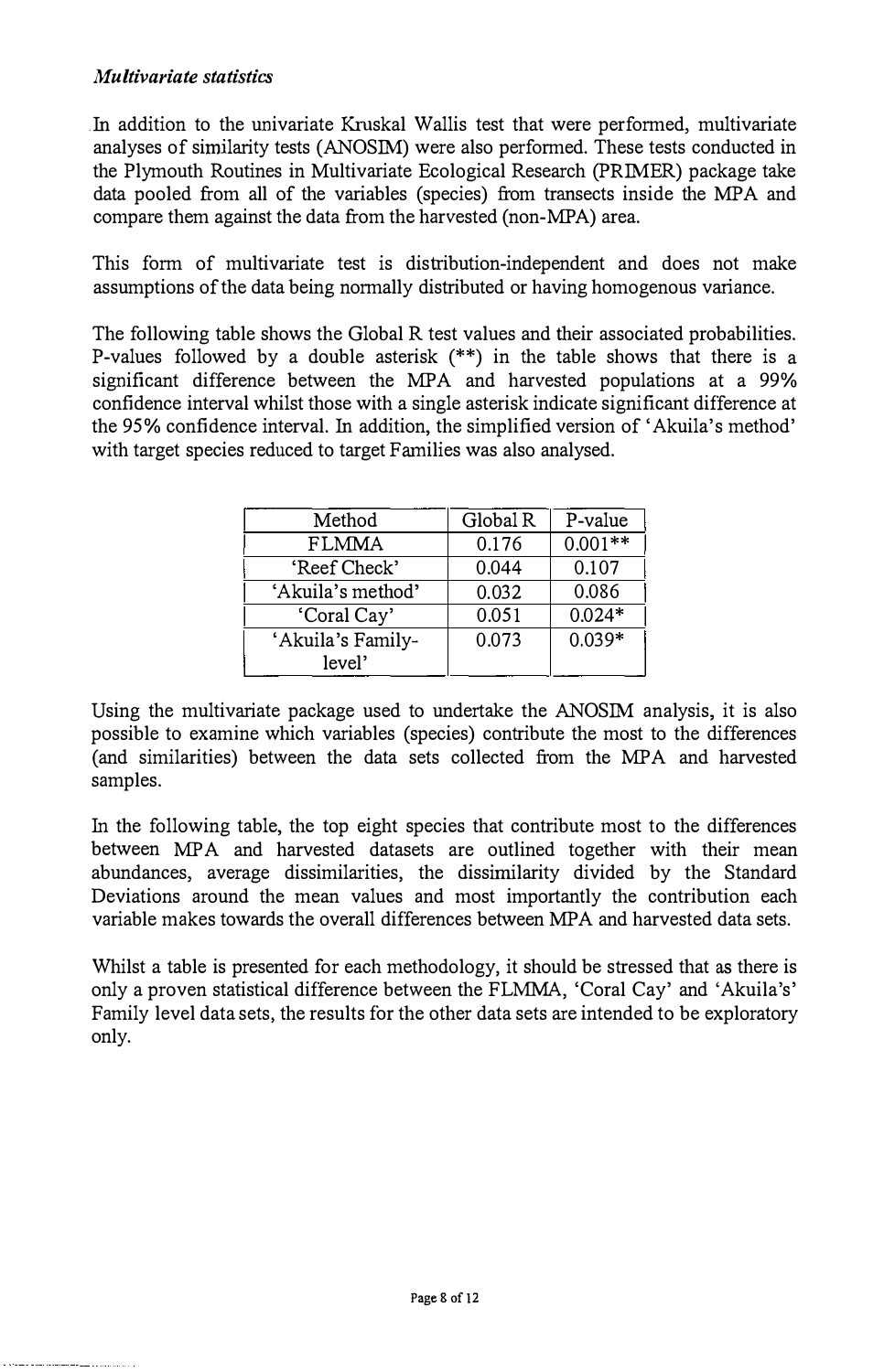#### Multivariate statistics

Jn addition to the univariate Kruskal Wallis test that were performed, multivariate analyses of similarity tests (ANOSIM) were also performed. These tests conducted in the Plymouth Routines in Multivariate Ecological Research (PRIMER) package take data pooled from all of the variables (species) from transects inside the MPA and compare them against the data from the harvested (non-MPA) area.

This form of multivariate test is distribution-independent and does not make assumptions of the data being normally distributed or having homogenous variance.

The following table shows the Global R test values and their associated probabilities. P-values followed by a double asterisk (\*\*) in the table shows that there is a significant difference between the MPA and harvested populations at a 99% confidence interval whilst those with a single asterisk indicate significant difference at the 95% confidence interval. In addition, the simplified version of 'Akuila's method' with target species reduced to target Families was also analysed.

| Method            | Global R | P-value   |
|-------------------|----------|-----------|
| <b>FLMMA</b>      | 0.176    | $0.001**$ |
| 'Reef Check'      | 0.044    | 0.107     |
| 'Akuila's method' | 0.032    | 0.086     |
| 'Coral Cay'       | 0.051    | $0.024*$  |
| 'Akuila's Family- | 0.073    | $0.039*$  |
| level'            |          |           |

Using the multivariate package used to undertake the ANOSIM analysis, it is also possible to examine which variables (species) contribute the most to the differences (and similarities) between the data sets collected from the MPA and harvested samples.

In the following table, the top eight species that contribute most to the differences between MPA and harvested datasets are outlined together with their mean abundances, average dissimilarities, the dissimilarity divided by the Standard Deviations around the mean values and most importantly the contribution each variable makes towards the overall differences between MPA and harvested data sets.

Whilst a table is presented for each methodology, it should be stressed that as there is only a proven statistical difference between the FLMMA, 'Coral Cay' and 'Akuila's' Family level data sets, the results for the other data sets are intended to be exploratory only.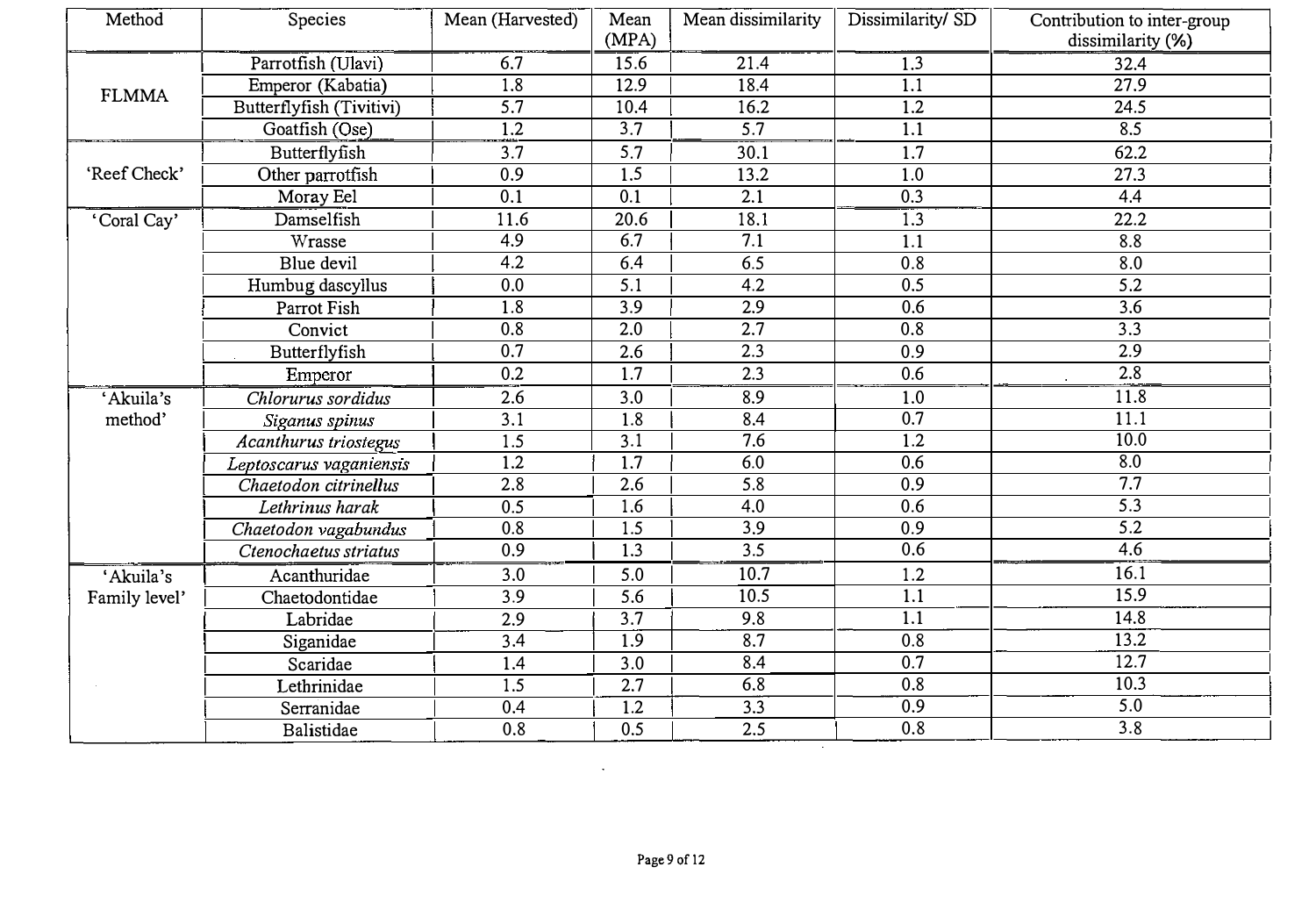| (MPA)<br>Parrotfish (Ulavi)<br>6.7<br>15.6<br>21.4<br>1.3<br>$\overline{1.8}$<br>12.9<br>18.4<br>1.1<br>Emperor (Kabatia)<br><b>FLMMA</b><br>5.7<br>10.4<br>16.2<br>Butterflyfish (Tivitivi)<br>1.2<br>3.7<br>5.7<br>Goatfish (Ose)<br>1.2<br>1.1<br>3.7<br>5.7<br>30.1<br>1.7<br>Butterflyfish<br>$\overline{1.5}$<br>'Reef Check'<br>0.9<br>13.2<br>Other parrotfish<br>1.0<br>$\overline{0.1}$<br>0.1<br>2.1<br>0.3<br>Moray Eel | dissimilarity (%)<br>32.4 |
|-------------------------------------------------------------------------------------------------------------------------------------------------------------------------------------------------------------------------------------------------------------------------------------------------------------------------------------------------------------------------------------------------------------------------------------|---------------------------|
|                                                                                                                                                                                                                                                                                                                                                                                                                                     |                           |
|                                                                                                                                                                                                                                                                                                                                                                                                                                     |                           |
|                                                                                                                                                                                                                                                                                                                                                                                                                                     | $\overline{27.9}$         |
|                                                                                                                                                                                                                                                                                                                                                                                                                                     | 24.5                      |
|                                                                                                                                                                                                                                                                                                                                                                                                                                     | 8.5                       |
|                                                                                                                                                                                                                                                                                                                                                                                                                                     | 62.2                      |
|                                                                                                                                                                                                                                                                                                                                                                                                                                     | 27.3                      |
|                                                                                                                                                                                                                                                                                                                                                                                                                                     | 4.4                       |
| Damselfish<br>'Coral Cay'<br>11.6<br>20.6<br>18.1<br>1.3                                                                                                                                                                                                                                                                                                                                                                            | 22.2                      |
| 4.9<br>6.7<br>$\overline{7.1}$<br>$\overline{\text{W}}$ rasse<br>1.1                                                                                                                                                                                                                                                                                                                                                                | 8.8                       |
| 6.4<br>Blue devil<br>4.2<br>6.5<br>0.8                                                                                                                                                                                                                                                                                                                                                                                              | 8.0                       |
| 0.0<br>$\overline{5.1}$<br>0.5<br>4.2<br>Humbug dascyllus                                                                                                                                                                                                                                                                                                                                                                           | $\overline{5.2}$          |
| 1.8<br>3.9<br>2.9<br>0.6<br>Parrot Fish                                                                                                                                                                                                                                                                                                                                                                                             | 3.6                       |
| $\overline{0.8}$<br>$\overline{2.0}$<br>2.7<br>0.8<br>Convict                                                                                                                                                                                                                                                                                                                                                                       | $\overline{3.3}$          |
| 0.7<br>2.6<br>2.3<br>0.9<br>Butterflyfish                                                                                                                                                                                                                                                                                                                                                                                           | 2.9                       |
| 0.2<br>1.7<br>2.3<br>0.6<br>Emperor                                                                                                                                                                                                                                                                                                                                                                                                 | 2.8                       |
| Chlorurus sordidus<br>2.6<br>3.0<br>8.9<br>1.0<br>'Akuila's                                                                                                                                                                                                                                                                                                                                                                         | 11.8                      |
| $\overline{3.1}$<br>1.8<br>8.4<br>0.7<br>method'<br>Siganus spinus                                                                                                                                                                                                                                                                                                                                                                  | $\overline{11.1}$         |
| 1.5<br>3.1<br>7.6<br>1.2<br>Acanthurus triostegus                                                                                                                                                                                                                                                                                                                                                                                   | $\overline{10.0}$         |
| 1.2<br>1.7<br>6.0<br>0.6<br>Leptoscarus vaganiensis                                                                                                                                                                                                                                                                                                                                                                                 | 8.0                       |
| 2.8<br>5.8<br>0.9<br>2.6<br>Chaetodon citrinellus                                                                                                                                                                                                                                                                                                                                                                                   | 7.7                       |
| 0.5<br>1.6<br>0.6<br>4.0<br>Lethrinus harak                                                                                                                                                                                                                                                                                                                                                                                         | $\overline{5.3}$          |
| $\overline{3.9}$<br>$\overline{0.8}$<br>$\overline{0.9}$<br>1.5<br>Chaetodon vagabundus                                                                                                                                                                                                                                                                                                                                             | $\overline{5.2}$          |
| 0.9<br>1.3<br>3.5<br>0.6<br>Ctenochaetus striatus                                                                                                                                                                                                                                                                                                                                                                                   | 4.6                       |
| 'Akuila's<br>3.0<br>5.0<br>10.7<br>1.2<br>Acanthuridae                                                                                                                                                                                                                                                                                                                                                                              | 16.1                      |
| 1.1<br>$\overline{3.9}$<br>5.6<br>10.5<br>Chaetodontidae<br>Family level'                                                                                                                                                                                                                                                                                                                                                           | 15.9                      |
| 1.1<br>2.9<br>3.7<br>9.8<br>Labridae                                                                                                                                                                                                                                                                                                                                                                                                | 14.8                      |
| 8.7<br>3.4<br>1.9<br>0.8<br>Siganidae                                                                                                                                                                                                                                                                                                                                                                                               | 13.2                      |
| 1.4<br>3.0<br>8.4<br>0.7<br>Scaridae                                                                                                                                                                                                                                                                                                                                                                                                | 12.7                      |
| 2.7<br>6.8<br>1.5<br>0.8<br>Lethrinidae                                                                                                                                                                                                                                                                                                                                                                                             | 10.3                      |
| 1.2<br>3.3<br>0.4<br>0.9<br>Serranidae                                                                                                                                                                                                                                                                                                                                                                                              | 5.0                       |
| 0.8<br>0.8<br>0.5<br>2.5<br>Balistidae                                                                                                                                                                                                                                                                                                                                                                                              | 3.8                       |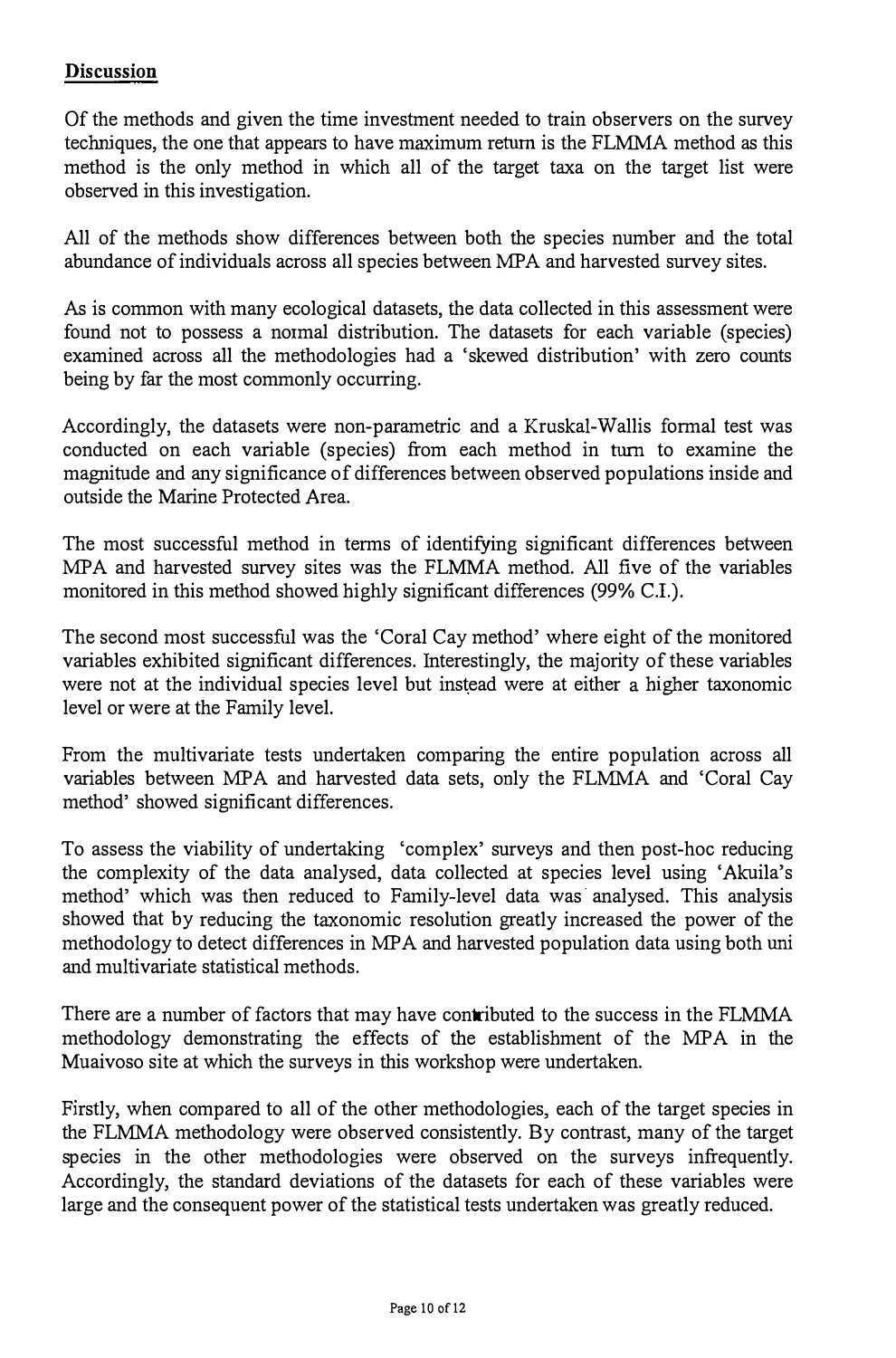#### **Discussion**

Of the methods and given the time investment needed to train observers on the survey techniques, the one that appears to have maximum return is the FLMMA method as this method is the only method in which all of the target taxa on the target list were observed in this investigation.

All of the methods show differences between both the species number and the total abundance of individuals across all species between MPA and harvested survey sites.

As is common with many ecological datasets, the data collected in this assessment were found not to possess a normal distribution. The datasets for each variable (species) examined across all the methodologies had a 'skewed distribution' with zero counts being by far the most commonly occurring.

Accordingly, the datasets were non-parametric and a Kruskal-Wallis formal test was conducted on each variable (species) from each method in turn to examine the magnitude and any significance of differences between observed populations inside and outside the Marine Protected Area.

The most successful method in terms of identifying significant differences between MPA and harvested survey sites was the FLMMA method. All five of the variables monitored in this method showed highly significant differences (99% C.I.).

The second most successful was the 'Coral Cay method' where eight of the monitored variables exhibited significant differences. Interestingly, the majority of these variables were not at the individual species level but instead were at either a higher taxonomic level or were at the Family level.

From the multivariate tests undertaken comparing the entire population across all variables between MPA and harvested data sets, only the FLMMA and 'Coral Cay method' showed significant differences.

To assess the viability of undertaking 'complex' surveys and then post-hoc reducing the complexity of the data analysed, data collected at species level using 'Akuila's method' which was then reduced to Family-level data was analysed. This analysis showed that by reducing the taxonomic resolution greatly increased the power of the methodology to detect differences in MP A and harvested population data using both uni and multivariate statistical methods.

There are a number of factors that may have contributed to the success in the FLMMA methodology demonstrating the effects of the establishment of the MPA in the Muaivoso site at which the surveys in this workshop were undertaken.

Firstly, when compared to all of the other methodologies, each of the target species in the FLMMA methodology were observed consistently. By contrast, many of the target species in the other methodologies were observed on the surveys infrequently. Accordingly, the standard deviations of the datasets for each of these variables were large and the consequent power of the statistical tests undertaken was greatly reduced.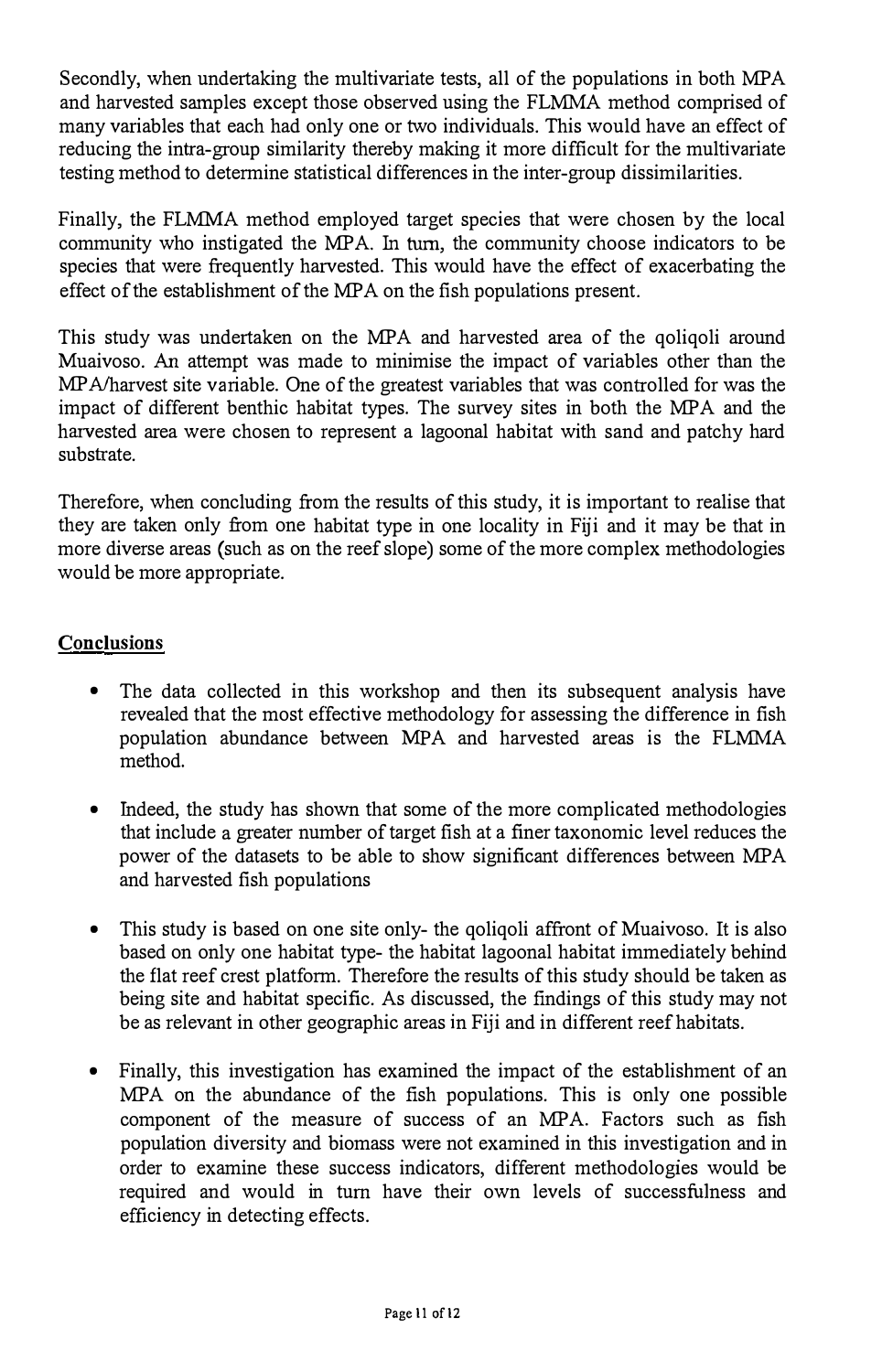Secondly, when undertaking the multivariate tests, all of the populations in both MPA and harvested samples except those observed using the FLMMA method comprised of many variables that each had only one or two individuals. This would have an effect of reducing the intra-group similarity thereby making it more difficult for the multivariate testing method to determine statistical differences in the inter-group dissimilarities.

Finally, the FLMMA method employed target species that were chosen by the local community who instigated the MPA. In turn, the community choose indicators to be species that were frequently harvested. This would have the effect of exacerbating the effect of the establishment of the MPA on the fish populations present.

This study was undertaken on the MPA and harvested area of the qoliqoli around Muaivoso. An attempt was made to minimise the impact of variables other than the MP A/harvest site variable. One of the greatest variables that was controlled for was the impact of different benthic habitat types. The survey sites in both the MPA and the harvested area were chosen to represent a lagoonal habitat with sand and patchy hard substrate.

Therefore, when concluding from the results of this study, it is important to realise that they are taken only from one habitat type in one locality in Fiji and it may be that in more diverse areas (such as on the reef slope) some of the more complex methodologies would be more appropriate.

#### **Conclusions**

- The data collected in this workshop and then its subsequent analysis have revealed that the most effective methodology for assessing the difference in fish population abundance between MPA and harvested areas is the FLMMA method.
- Indeed, the study has shown that some of the more complicated methodologies that include a greater number of target fish at a finer taxonomic level reduces the power of the datasets to be able to show significant differences between MPA and harvested fish populations
- This study is based on one site only- the goligoli affront of Muaivoso. It is also based on only one habitat type- the habitat lagoonal habitat immediately behind the flat reef crest platform. Therefore the results of this study should be taken as being site and habitat specific. As discussed, the findings of this study may not be as relevant in other geographic areas in Fiji and in different reef habitats.
- Finally, this investigation has examined the impact of the establishment of an MPA on the abundance of the fish populations. This is only one possible component of the measure of success of an MPA. Factors such as fish population diversity and biomass were not examined in this investigation and in order to examine these success indicators, different methodologies would be required and would in tum have their own levels of successfulness and efficiency in detecting effects.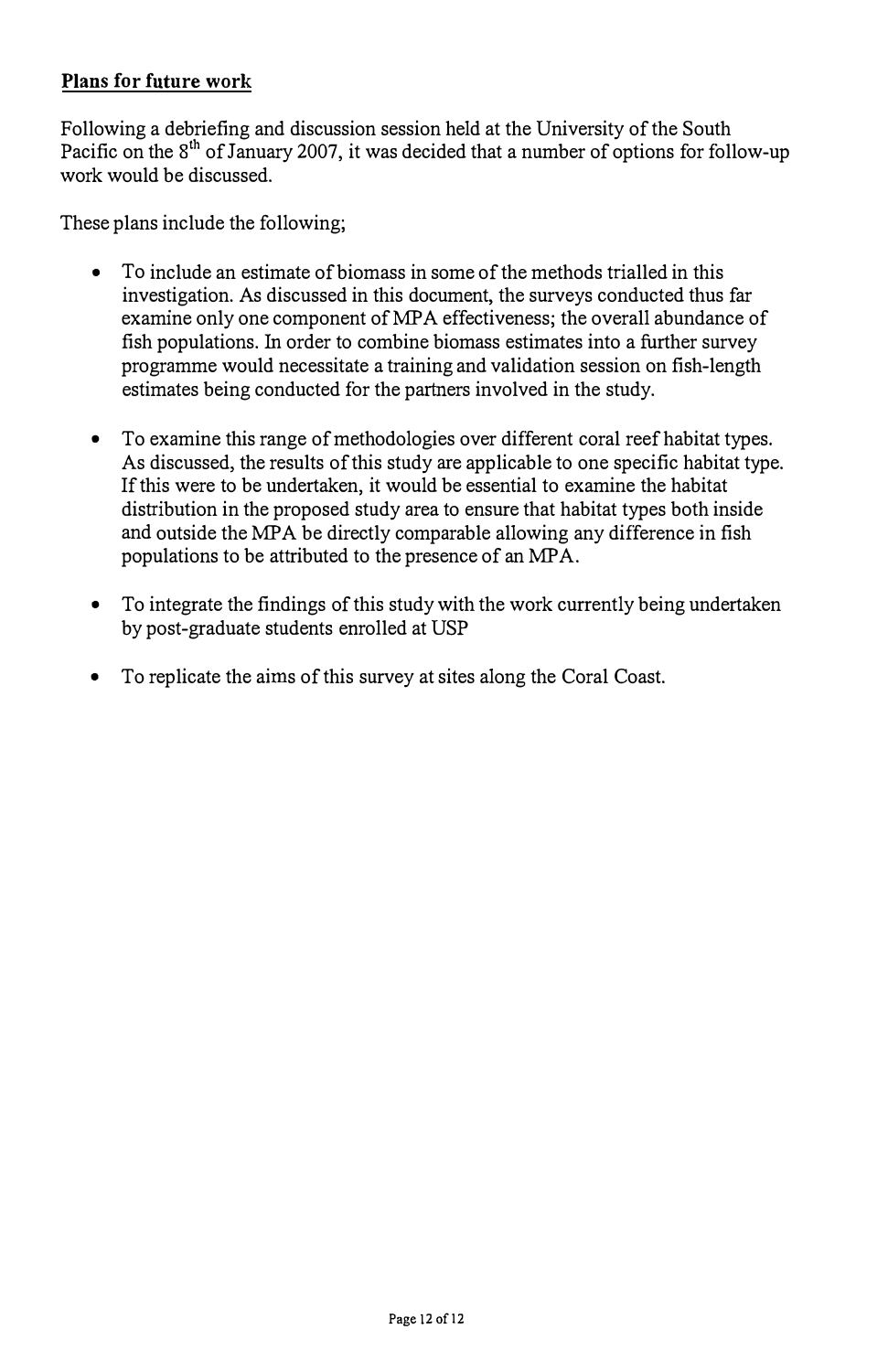#### Plans for future work

Following a debriefing and discussion session held at the University of the South Pacific on the 8<sup>th</sup> of January 2007, it was decided that a number of options for follow-up work would be discussed.

These plans include the following;

- To include an estimate of biomass in some of the methods trialled in this investigation. As discussed in this document, the surveys conducted thus far examine only one component of MPA effectiveness; the overall abundance of fish populations. In order to combine biomass estimates into a further survey programme would necessitate a training and validation session on fish-length estimates being conducted for the partners involved in the study.
- To examine this range of methodologies over different coral reef habitat types. As discussed, the results of this study are applicable to one specific habitat type. If this were to be undertaken, it would be essential to examine the habitat distribution in the proposed study area to ensure that habitat types both inside and outside the MPA be directly comparable allowing any difference in fish populations to be attributed to the presence of an MPA.
- To integrate the findings of this study with the work currently being undertaken by post-graduate students enrolled at USP
- To replicate the aims of this survey at sites along the Coral Coast.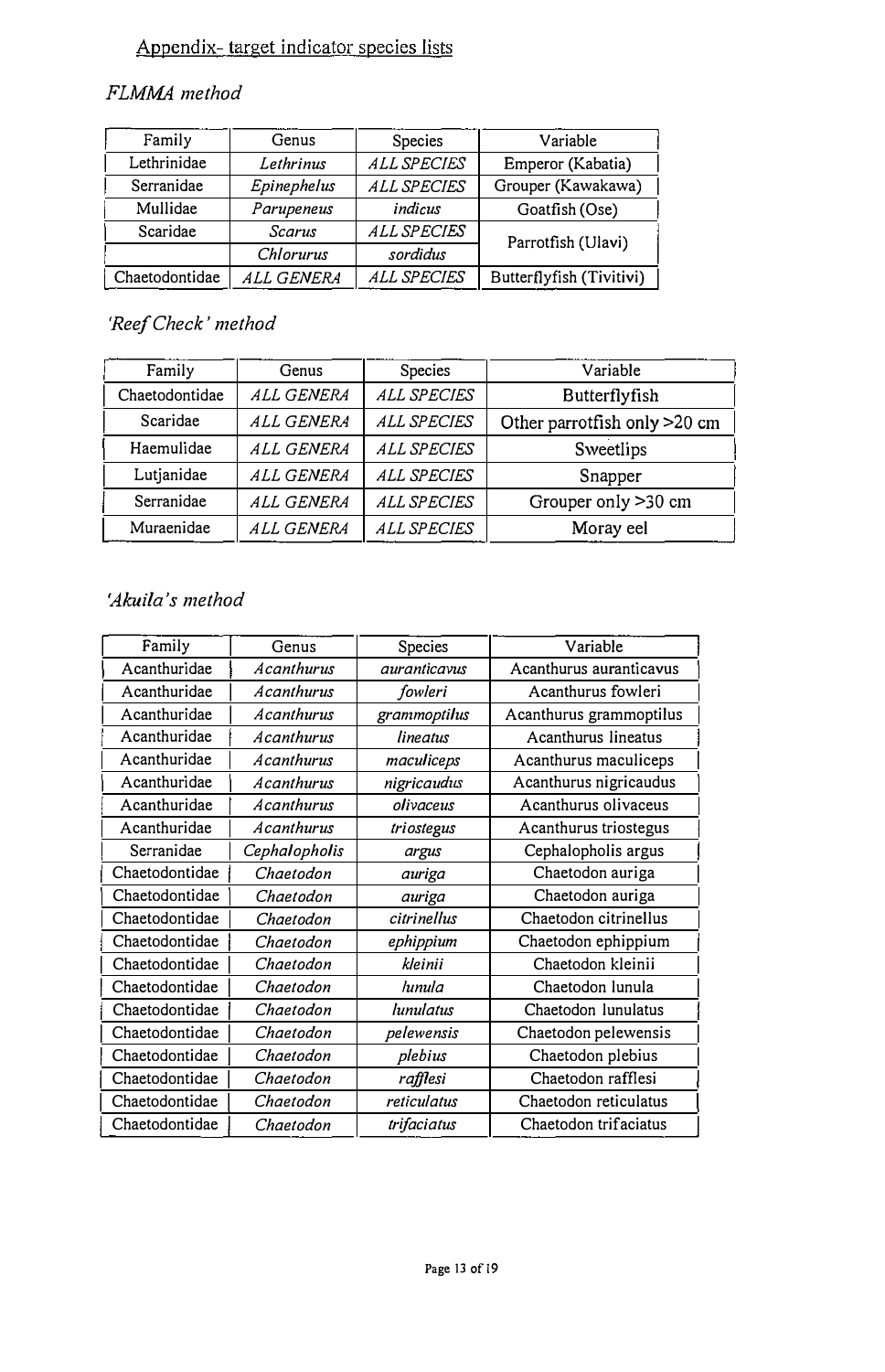## Appendix- target indicator species lists

#### FLMMA method

| Family         | Genus                    | Species            | Variable                 |  |
|----------------|--------------------------|--------------------|--------------------------|--|
| Lethrinidae    | ALL SPECIES<br>Lethrinus |                    | Emperor (Kabatia)        |  |
| Serranidae     | Epinephelus              | <b>ALL SPECIES</b> | Grouper (Kawakawa)       |  |
| Mullidae       | Parupeneus               | indicus            | Goatfish (Ose)           |  |
| Scaridae       | Scarus                   | <b>ALL SPECIES</b> |                          |  |
|                | Chlorurus                | sordidus           | Parrotfish (Ulavi)       |  |
| Chaetodontidae | <i>ALL GENERA</i>        | <b>ALL SPECIES</b> | Butterflyfish (Tivitivi) |  |

#### 'Reef Check' method

| Family         | Genus             | <b>Species</b>     | Variable                     |
|----------------|-------------------|--------------------|------------------------------|
| Chaetodontidae | ALL GENERA        | ALL SPECIES        | Butterflyfish                |
| Scaridae       | ALL GENERA        | <b>ALL SPECIES</b> | Other parrotfish only >20 cm |
| Haemulidae     | ALL GENERA        | <b>ALL SPECIES</b> | Sweetlips                    |
| Lutjanidae     | <b>ALL GENERA</b> | <b>ALL SPECIES</b> | Snapper                      |
| Serranidae     | ALL GENERA        | <b>ALL SPECIES</b> | Grouper only >30 cm          |
| Muraenidae     | <b>ALL GENERA</b> | <b>ALL SPECIES</b> | Moray eel                    |

#### 'Akuila ' <sup>s</sup>method

| Family         | Genus         | Species             | Variable                |
|----------------|---------------|---------------------|-------------------------|
| Acanthuridae   | Acanthurus    | <i>auranticavus</i> | Acanthurus auranticavus |
| Acanthuridae   | Acanthurus    | fowleri             | Acanthurus fowleri      |
| Acanthuridae   | Acanthurus    | grammoptilus        | Acanthurus grammoptilus |
| Acanthuridae   | Acanthurus    | lineatus            | Acanthurus lineatus     |
| Acanthuridae   | Acanthurus    | maculiceps          | Acanthurus maculiceps   |
| Acanthuridae   | Acanthurus    | nigricaudus         | Acanthurus nigricaudus  |
| Acanthuridae   | Acanthurus    | olivaceus           | Acanthurus olivaceus    |
| Acanthuridae   | Acanthurus    | triostegus          | Acanthurus triostegus   |
| Serranidae     | Cephalopholis | argus               | Cephalopholis argus     |
| Chaetodontidae | Chaetodon     | auriga              | Chaetodon auriga        |
| Chaetodontidae | Chaetodon     | auriga              | Chaetodon auriga        |
| Chaetodontidae | Chaetodon     | citrinellus         | Chaetodon citrinellus   |
| Chaetodontidae | Chaetodon     | ephippium           | Chaetodon ephippium     |
| Chaetodontidae | Chaetodon     | kleinii             | Chaetodon kleinii       |
| Chaetodontidae | Chaetodon     | lunula              | Chaetodon lunula        |
| Chaetodontidae | Chaetodon     | lunulatus           | Chaetodon lunulatus     |
| Chaetodontidae | Chaetodon     | pelewensis          | Chaetodon pelewensis    |
| Chaetodontidae | Chaetodon     | plebius             | Chaetodon plebius       |
| Chaetodontidae | Chaetodon     | rafflesi            | Chaetodon rafflesi      |
| Chaetodontidae | Chaetodon     | reticulatus         | Chaetodon reticulatus   |
| Chaetodontidae | Chaetodon     | trifaciatus         | Chaetodon trifaciatus   |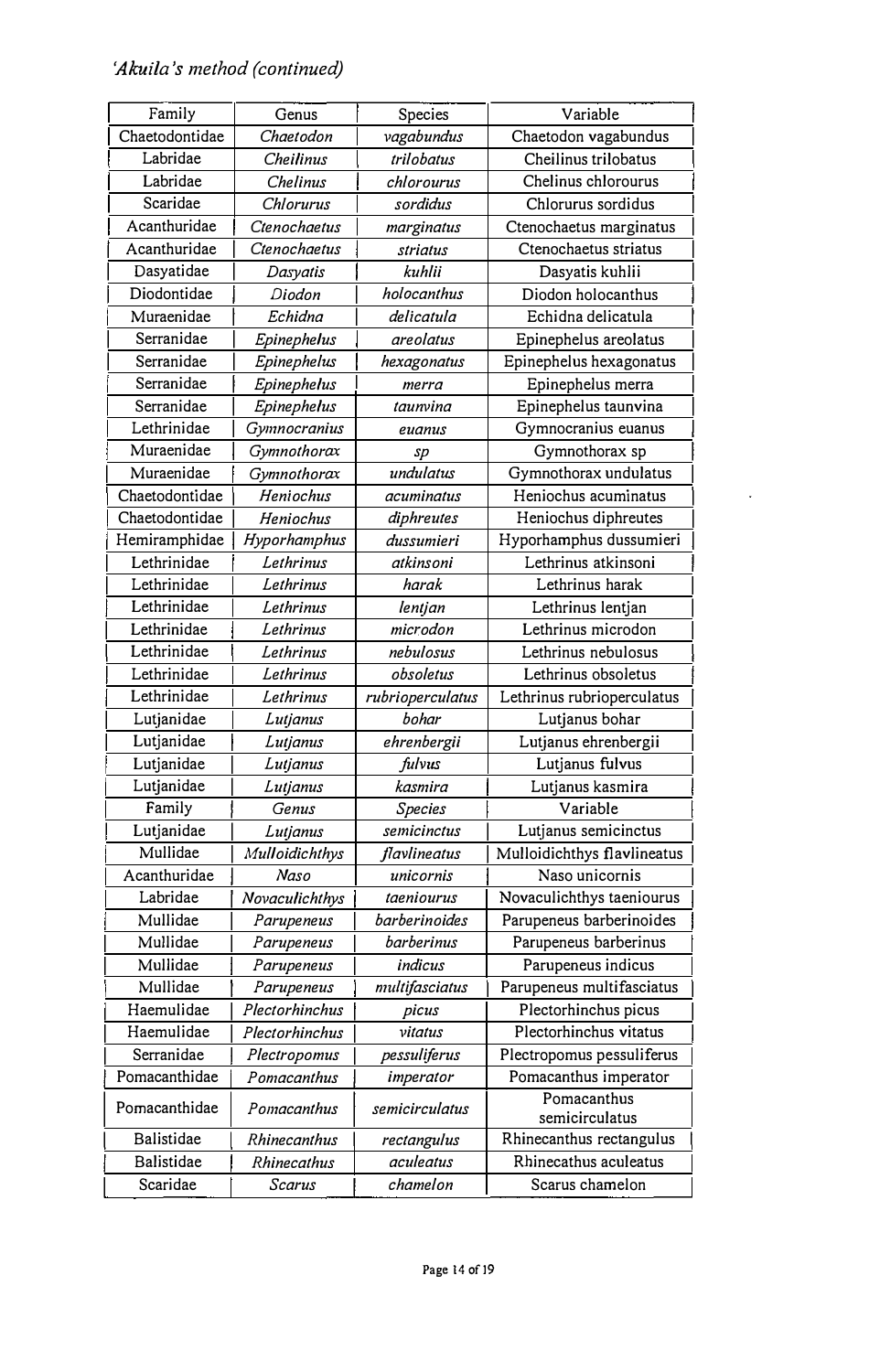| Family         | Genus          | Species          | Variable                    |
|----------------|----------------|------------------|-----------------------------|
| Chaetodontidae | Chaetodon      | vagabundus       | Chaetodon vagabundus        |
| Labridae       | Cheilinus      | trilobatus       | Cheilinus trilobatus        |
| Labridae       | Chelinus       | chlorourus       | Chelinus chlorourus         |
| Scaridae       | Chlorurus      | sordidus         | Chlorurus sordidus          |
| Acanthuridae   | Ctenochaetus   | marginatus       | Ctenochaetus marginatus     |
| Acanthuridae   | Ctenochaetus   | striatus         | Ctenochaetus striatus       |
| Dasyatidae     | Dasyatis       | kuhlii           | Dasyatis kuhlii             |
| Diodontidae    | Diodon         | holocanthus      | Diodon holocanthus          |
| Muraenidae     | Echidna        | delicatula       | Echidna delicatula          |
| Serranidae     | Epinephelus    | areolatus        | Epinephelus areolatus       |
| Serranidae     | Epinephelus    | hexagonatus      | Epinephelus hexagonatus     |
| Serranidae     | Epinephelus    | merra            | Epinephelus merra           |
| Serranidae     | Epinephelus    | taunvina         | Epinephelus taunvina        |
| Lethrinidae    | Gymnocranius   | euanus           | Gymnocranius euanus         |
| Muraenidae     | Gymnothorax    | sp               | Gymnothorax sp              |
| Muraenidae     | Gymnothorax    | undulatus        | Gymnothorax undulatus       |
| Chaetodontidae | Heniochus      | acuminatus       | Heniochus acuminatus        |
| Chaetodontidae | Heniochus      | diphreutes       | Heniochus diphreutes        |
| Hemiramphidae  | Hyporhamphus   | dussumieri       | Hyporhamphus dussumieri     |
| Lethrinidae    | Lethrinus      | atkinsoni        | Lethrinus atkinsoni         |
| Lethrinidae    | Lethrinus      | harak            | Lethrinus harak             |
| Lethrinidae    | Lethrinus      | lentjan          | Lethrinus lentjan           |
| Lethrinidae    | Lethrinus      | microdon         | Lethrinus microdon          |
| Lethrinidae    | Lethrinus      | nebulosus        | Lethrinus nebulosus         |
| Lethrinidae    | Lethrinus      | obsoletus        | Lethrinus obsoletus         |
| Lethrinidae    | Lethrinus      | rubrioperculatus | Lethrinus rubrioperculatus  |
| Lutjanidae     | Lutjanus       | bohar            | Lutjanus bohar              |
| Lutjanidae     | Lutjanus       | ehrenbergii      | Lutjanus ehrenbergii        |
| Lutjanidae     | Lutjanus       | fulvus           | Lutjanus fulvus             |
| Lutjanidae     | Lutjanus       | kasmira          | Lutjanus kasmira            |
| Family         | Genus          | Species          | Variable                    |
| Lutjanidae     | Lutjanus       | semicinctus      | Lutjanus semicinctus        |
| Mullidae       | Mulloidichthys | flavlineatus     | Mulloidichthys flavlineatus |
| Acanthuridae   | Naso           | unicornis        | Naso unicornis              |
| Labridae       | Novaculichthys | taeniourus       | Novaculichthys taeniourus   |
| Mullidae       | Parupeneus     | barberinoides    | Parupeneus barberinoides    |
| Mullidae       | Parupeneus     | barberinus       | Parupeneus barberinus       |
| Mullidae       | Parupeneus     | indicus          | Parupeneus indicus          |
| Mullidae       | Parupeneus     | multifasciatus   | Parupeneus multifasciatus   |
| Haemulidae     | Plectorhinchus | picus            | Plectorhinchus picus        |
| Haemulidae     | Plectorhinchus | vitatus          | Plectorhinchus vitatus      |
| Serranidae     | Plectropomus   | pessuliferus     | Plectropomus pessuliferus   |
| Pomacanthidae  | Pomacanthus    | imperator        | Pomacanthus imperator       |
|                |                |                  | Pomacanthus                 |
| Pomacanthidae  | Pomacanthus    | semicirculatus   | semicirculatus              |
| Balistidae     | Rhinecanthus   | rectangulus      | Rhinecanthus rectangulus    |
| Balistidae     | Rhinecathus    | aculeatus        | Rhinecathus aculeatus       |
| Scaridae       | Scarus         | chamelon         | Scarus chamelon             |

 $\Box$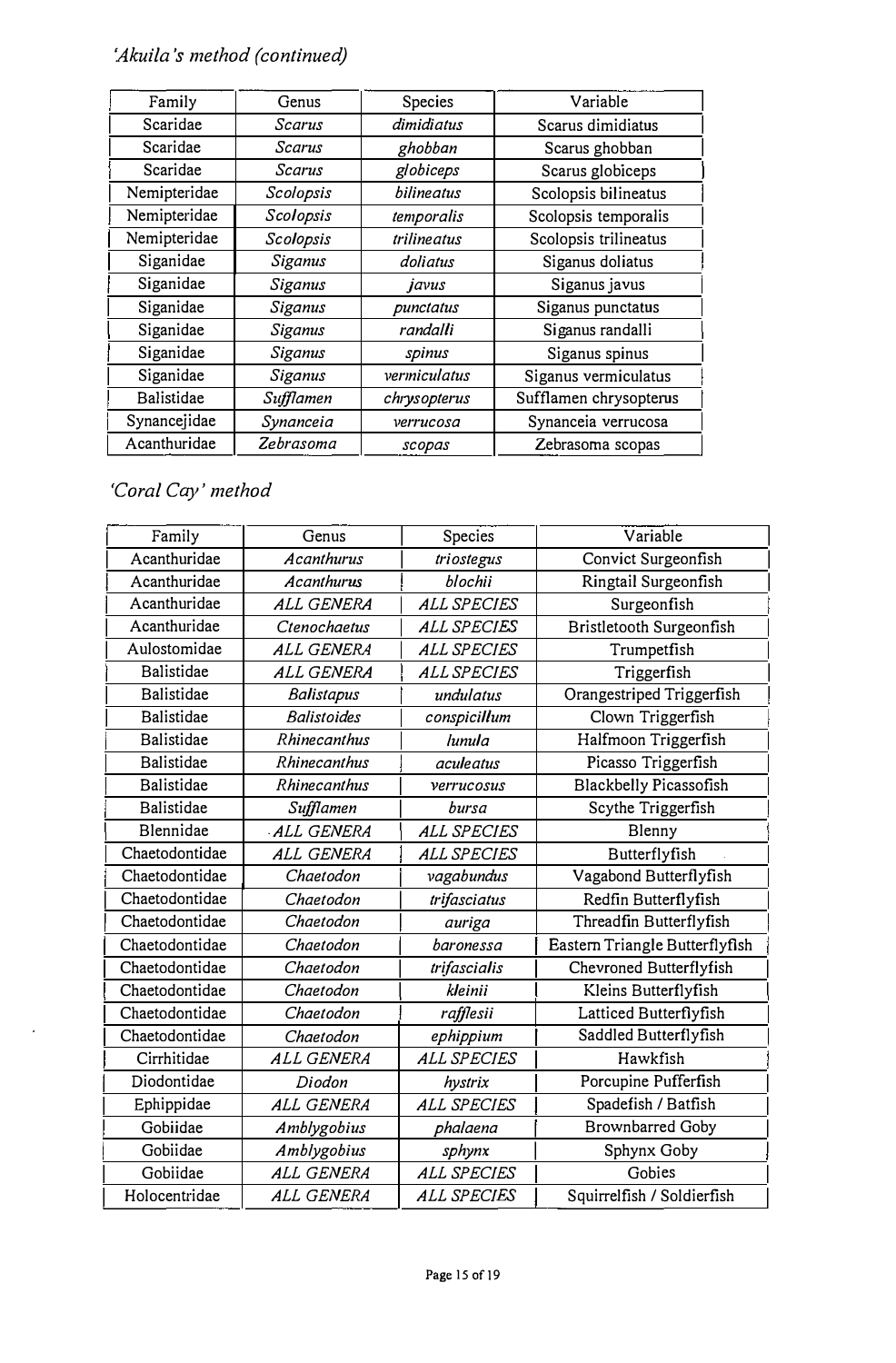#### 'Akuila 's method (continued)

| Family       | Genus     | Species           | Variable               |
|--------------|-----------|-------------------|------------------------|
| Scaridae     | Scarus    | dimidiatus        | Scarus dimidiatus      |
| Scaridae     | Scarus    | ghobban           | Scarus ghobban         |
| Scaridae     | Scarus    | globiceps         | Scarus globiceps       |
| Nemipteridae | Scolopsis | bilineatus        | Scolopsis bilineatus   |
| Nemipteridae | Scolopsis | temporalis        | Scolopsis temporalis   |
| Nemipteridae | Scolopsis | trilineatus       | Scolopsis trilineatus  |
| Siganidae    | Siganus   | doliatus          | Siganus doliatus       |
| Siganidae    | Siganus   | javus             | Siganus javus          |
| Siganidae    | Siganus   | punctatus         | Siganus punctatus      |
| Siganidae    | Siganus   | randal <b>l</b> i | Siganus randalli       |
| Siganidae    | Siganus   | spinus            | Siganus spinus         |
| Siganidae    | Siganus   | vermiculatus      | Siganus vermiculatus   |
| Balistidae   | Sufflamen | chrysopterus      | Sufflamen chrysopterus |
| Synancejidae | Synanceia | verrucosa         | Synanceia verrucosa    |
| Acanthuridae | Zebrasoma | scopas            | Zebrasoma scopas       |
|              |           |                   |                        |

'Coral Cay' method

| Family            | Genus               | Species            | Variable                       |
|-------------------|---------------------|--------------------|--------------------------------|
| Acanthuridae      | Acanthurus          | triostegus         | Convict Surgeonfish            |
| Acanthuridae      | Acanthurus          | blochii            | Ringtail Surgeonfish           |
| Acanthuridae      | ALL GENERA          | <b>ALL SPECIES</b> | Surgeonfish                    |
| Acanthuridae      | Ctenochaetus        | ALL SPECIES        | Bristletooth Surgeonfish       |
| Aulostomidae      | <b>ALL GENERA</b>   | <b>ALL SPECIES</b> | Trumpetfish                    |
| Balistidae        | <b>ALL GENERA</b>   | <b>ALL SPECIES</b> | Triggerfish                    |
| Balistidae        | Balistapus          | undulatus          | Orangestriped Triggerfish      |
| Balistidae        | <b>Balistoides</b>  | conspicillum       | Clown Triggerfish              |
| Balistidae        | <b>Rhinecanthus</b> | lunula             | Halfmoon Triggerfish           |
| Balistidae        | Rhinecanthus        | aculeatus          | Picasso Triggerfish            |
| <b>Balistidae</b> | <b>Rhinecanthus</b> | verrucosus         | Blackbelly Picassofish         |
| Balistidae        | Sufflamen           | bursa              | Scythe Triggerfish             |
| Blennidae         | ALL GENERA          | <b>ALL SPECIES</b> | Blenny                         |
| Chaetodontidae    | ALL GENERA          | <b>ALL SPECIES</b> | Butterflyfish                  |
| Chaetodontidae    | Chaetodon           | vagabundus         | Vagabond Butterflyfish         |
| Chaetodontidae    | Chaetodon           | trifasciatus       | Redfin Butterflyfish           |
| Chaetodontidae    | Chaetodon           | auriga             | Threadfin Butterflyfish        |
| Chaetodontidae    | Chaetodon           | baronessa          | Eastern Triangle Butterflyfish |
| Chaetodontidae    | Chaetodon           | trifascialis       | Chevroned Butterflyfish        |
| Chaetodontidae    | Chaetodon           | kleinii            | Kleins Butterflyfish           |
| Chaetodontidae    | Chaetodon           | rafflesii          | Latticed Butterflyfish         |
| Chaetodontidae    | Chaetodon           | ephippium          | Saddled Butterflyfish          |
| Cirrhitidae       | <b>ALL GENERA</b>   | <b>ALL SPECIES</b> | Hawkfish                       |
| Diodontidae       | Diodon              | hystrix            | Porcupine Pufferfish           |
| Ephippidae        | ALL GENERA          | <b>ALL SPECIES</b> | Spadefish / Batfish            |
| Gobiidae          | Amblygobius         | phalaena           | <b>Brownbarred Goby</b>        |
| Gobiidae          | Amblygobius         | sphynx             | Sphynx Goby                    |
| Gobiidae          | ALL GENERA          | <b>ALL SPECIES</b> | Gobies                         |
| Holocentridae     | ALL GENERA          | ALL SPECIES        | Squirrelfish / Soldierfish     |
|                   |                     |                    |                                |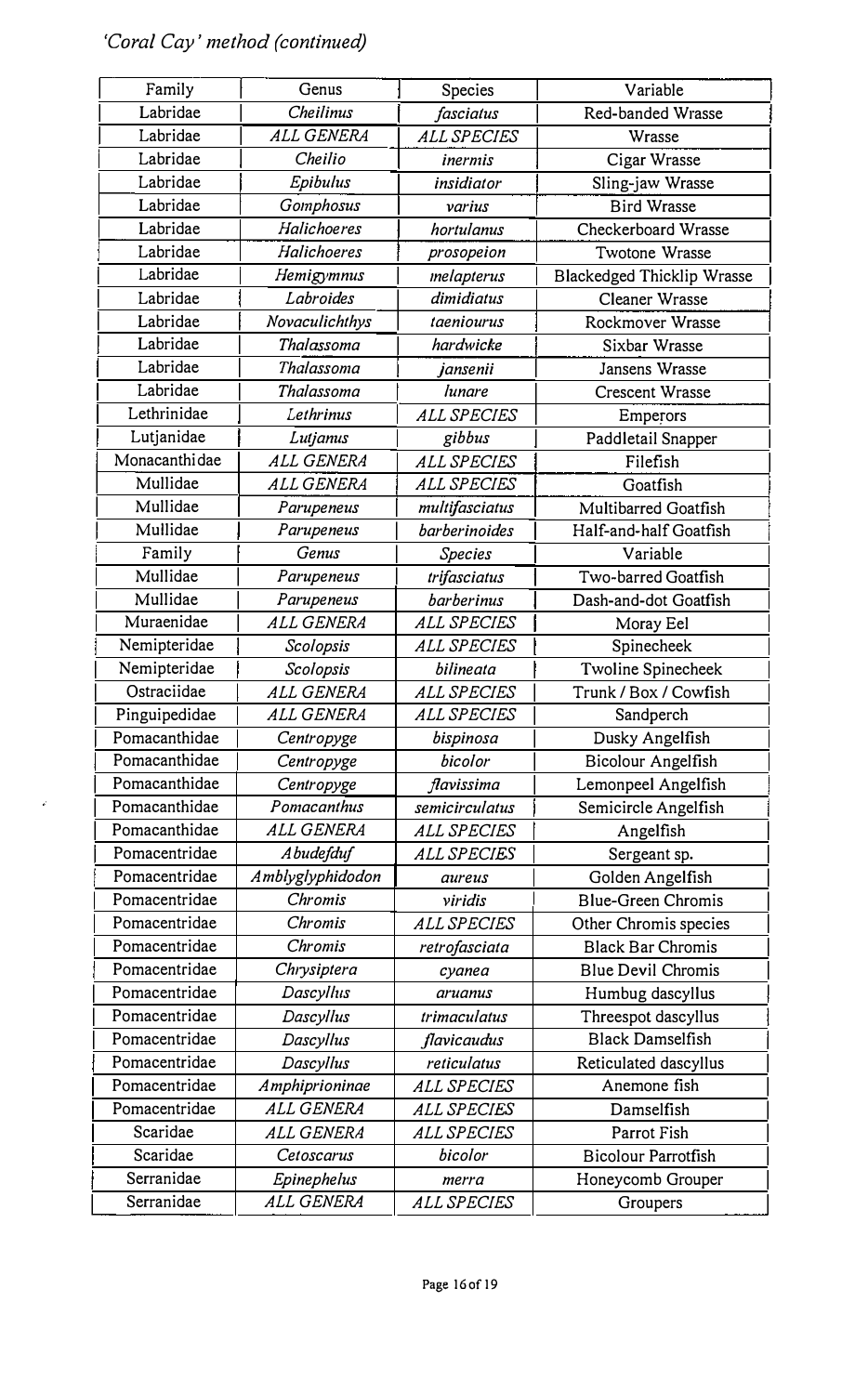## 'Coral Cay' method (continued)

 $\vec{r}$ 

| Family        | Genus             | Species            | Variable                          |
|---------------|-------------------|--------------------|-----------------------------------|
| Labridae      | <b>Cheilinus</b>  | fasciatus          | Red-banded Wrasse                 |
| Labridae      | ALL GENERA        | <b>ALL SPECIES</b> | Wrasse                            |
| Labridae      | Cheilio           | inermis            | Cigar Wrasse                      |
| Labridae      | Epibulus          | insidiator         | Sling-jaw Wrasse                  |
| Labridae      | Gomphosus         | varius             | <b>Bird Wrasse</b>                |
| Labridae      | Halichoeres       | hortulanus         | Checkerboard Wrasse               |
| Labridae      | Halichoeres       | prosopeion         | Twotone Wrasse                    |
| Labridae      | Hemigymnus        | melapterus         | <b>Blackedged Thicklip Wrasse</b> |
| Labridae      | Labroides         | dimidiatus         | Cleaner Wrasse                    |
| Labridae      | Novaculichthys    | taeniourus         | Rockmover Wrasse                  |
| Labridae      | Thalassoma        | hardwicke          | Sixbar Wrasse                     |
| Labridae      | Thalassoma        | jansenii           | Jansens Wrasse                    |
| Labridae      | Thalassoma        | lunare             | Crescent Wrasse                   |
| Lethrinidae   | Lethrinus         | <b>ALL SPECIES</b> | Emperors                          |
| Lutjanidae    | Lutjanus          | gibbus             | Paddletail Snapper                |
| Monacanthidae | <b>ALL GENERA</b> | <b>ALL SPECIES</b> | Filefish                          |
| Mullidae      | <b>ALL GENERA</b> | <b>ALL SPECIES</b> | Goatfish                          |
| Mullidae      | Parupeneus        | multifasciatus     | Multibarred Goatfish              |
| Mullidae      | Parupeneus        | barberinoides      | Half-and-half Goatfish            |
| Family        | Genus             | Species            | Variable                          |
| Mullidae      | Parupeneus        | trifasciatus       | Two-barred Goatfish               |
| Mullidae      | Parupeneus        | barberinus         | Dash-and-dot Goatfish             |
| Muraenidae    | <b>ALL GENERA</b> | <b>ALL SPECIES</b> | Moray Eel                         |
| Nemipteridae  | Scolopsis         | <b>ALL SPECIES</b> | Spinecheek                        |
| Nemipteridae  | Scolopsis         | bilineata          | Twoline Spinecheek                |
| Ostraciidae   | ALL GENERA        | <b>ALL SPECIES</b> | Trunk / Box / Cowfish             |
| Pinguipedidae | ALL GENERA        | <b>ALL SPECIES</b> | Sandperch                         |
| Pomacanthidae | Centropyge        | bispinosa          | Dusky Angelfish                   |
| Pomacanthidae | Centropyge        | bicolor            | Bicolour Angelfish                |
| Pomacanthidae | Centropyge        | flavissima         | Lemonpeel Angelfish               |
| Pomacanthidae | Pomacanthus       | semicirculatus     | Semicircle Angelfish              |
| Pomacanthidae | ALL GENERA        | <b>ALL SPECIES</b> | Angelfish                         |
| Pomacentridae | Abudefduf         | <b>ALL SPECIES</b> | Sergeant sp.                      |
| Pomacentridae | Amblyglyphidodon  | aureus             | Golden Angelfish                  |
| Pomacentridae | Chromis           | viridis            | Blue-Green Chromis                |
| Pomacentridae | Chromis           | <i>ALL SPECIES</i> | Other Chromis species             |
| Pomacentridae | Chromis           | retrofasciata      | <b>Black Bar Chromis</b>          |
| Pomacentridae | Chrysiptera       | cyanea             | <b>Blue Devil Chromis</b>         |
| Pomacentridae | Dascyllus         | aruanus            | Humbug dascyllus                  |
| Pomacentridae | Dascyllus         | trimaculatus       | Threespot dascyllus               |
| Pomacentridae | Dascyllus         | flavicaudus        | <b>Black Damselfish</b>           |
| Pomacentridae | Dascyllus         | reticulatus        | Reticulated dascyllus             |
| Pomacentridae | Amphiprioninae    | ALL SPECIES        | Anemone fish                      |
| Pomacentridae | <i>ALL GENERA</i> | <b>ALL SPECIES</b> | Damselfish                        |
| Scaridae      | <i>ALL GENERA</i> | <b>ALL SPECIES</b> | Parrot Fish                       |
| Scaridae      | Cetoscarus        | bicolor            | <b>Bicolour Parrotfish</b>        |
| Serranidae    | Epinephelus       | merra              | Honeycomb Grouper                 |
| Serranidae    | ALL GENERA        | ALL SPECIES        | Groupers                          |
|               |                   |                    |                                   |